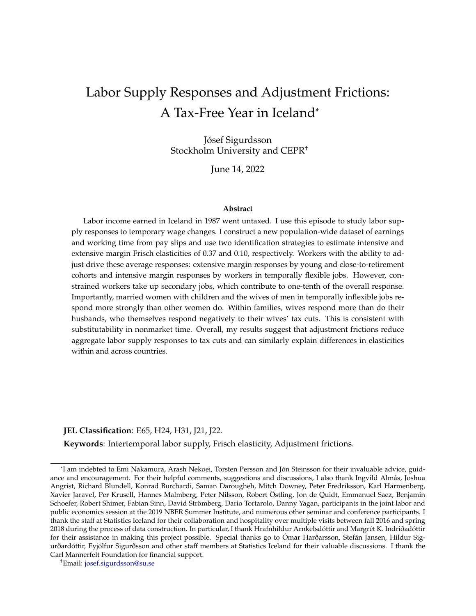# <span id="page-0-0"></span>Labor Supply Responses and Adjustment Frictions: A Tax-Free Year in Iceland\*

Jósef Sigurdsson Stockholm University and CEPR†

June 14, 2022

#### **Abstract**

Labor income earned in Iceland in 1987 went untaxed. I use this episode to study labor supply responses to temporary wage changes. I construct a new population-wide dataset of earnings and working time from pay slips and use two identification strategies to estimate intensive and extensive margin Frisch elasticities of 0.37 and 0.10, respectively. Workers with the ability to adjust drive these average responses: extensive margin responses by young and close-to-retirement cohorts and intensive margin responses by workers in temporally flexible jobs. However, constrained workers take up secondary jobs, which contribute to one-tenth of the overall response. Importantly, married women with children and the wives of men in temporally inflexible jobs respond more strongly than other women do. Within families, wives respond more than do their husbands, who themselves respond negatively to their wives' tax cuts. This is consistent with substitutability in nonmarket time. Overall, my results suggest that adjustment frictions reduce aggregate labor supply responses to tax cuts and can similarly explain differences in elasticities within and across countries.

#### **JEL Classification**: E65, H24, H31, J21, J22.

**Keywords**: Intertemporal labor supply, Frisch elasticity, Adjustment frictions.

<sup>\*</sup>I am indebted to Emi Nakamura, Arash Nekoei, Torsten Persson and Jón Steinsson for their invaluable advice, guidance and encouragement. For their helpful comments, suggestions and discussions, I also thank Ingvild Almås, Joshua Angrist, Richard Blundell, Konrad Burchardi, Saman Darougheh, Mitch Downey, Peter Fredriksson, Karl Harmenberg, Xavier Jaravel, Per Krusell, Hannes Malmberg, Peter Nilsson, Robert Östling, Jon de Quidt, Emmanuel Saez, Benjamin Schoefer, Robert Shimer, Fabian Sinn, David Strömberg, Dario Tortarolo, Danny Yagan, participants in the joint labor and public economics session at the 2019 NBER Summer Institute, and numerous other seminar and conference participants. I thank the staff at Statistics Iceland for their collaboration and hospitality over multiple visits between fall 2016 and spring 2018 during the process of data construction. In particular, I thank Hrafnhildur Arnkelsdóttir and Margrét K. Indriðadóttir for their assistance in making this project possible. Special thanks go to Ómar Harðarsson, Stefán Jansen, Hildur Sigurðardóttir, Eyjólfur Sigurðsson and other staff members at Statistics Iceland for their valuable discussions. I thank the Carl Mannerfelt Foundation for financial support.

<sup>†</sup>Email: [josef.sigurdsson@su.se](mailto:josef.sigurdsson@su.se)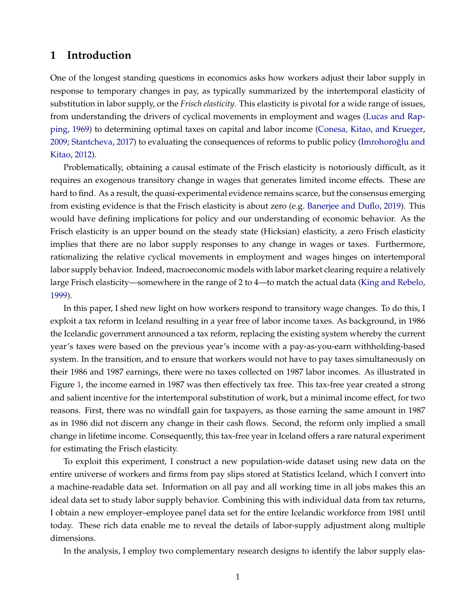# **1 Introduction**

One of the longest standing questions in economics asks how workers adjust their labor supply in response to temporary changes in pay, as typically summarized by the intertemporal elasticity of substitution in labor supply, or the *Frisch elasticity*. This elasticity is pivotal for a wide range of issues, from understanding the drivers of cyclical movements in employment and wages [\(Lucas and Rap](#page-34-0)[ping,](#page-34-0) [1969\)](#page-34-0) to determining optimal taxes on capital and labor income [\(Conesa, Kitao, and Krueger,](#page-33-0) [2009;](#page-33-0) [Stantcheva,](#page-34-1) [2017\)](#page-34-1) to evaluating the consequences of reforms to public policy (Imrohoroğlu and [Kitao,](#page-33-1) [2012\)](#page-33-1).

Problematically, obtaining a causal estimate of the Frisch elasticity is notoriously difficult, as it requires an exogenous transitory change in wages that generates limited income effects. These are hard to find. As a result, the quasi-experimental evidence remains scarce, but the consensus emerging from existing evidence is that the Frisch elasticity is about zero (e.g. [Banerjee and Duflo,](#page-32-0) [2019\)](#page-32-0). This would have defining implications for policy and our understanding of economic behavior. As the Frisch elasticity is an upper bound on the steady state (Hicksian) elasticity, a zero Frisch elasticity implies that there are no labor supply responses to any change in wages or taxes. Furthermore, rationalizing the relative cyclical movements in employment and wages hinges on intertemporal labor supply behavior. Indeed, macroeconomic models with labor market clearing require a relatively large Frisch elasticity—somewhere in the range of 2 to 4—to match the actual data [\(King and Rebelo,](#page-33-2) [1999\)](#page-33-2).

In this paper, I shed new light on how workers respond to transitory wage changes. To do this, I exploit a tax reform in Iceland resulting in a year free of labor income taxes. As background, in 1986 the Icelandic government announced a tax reform, replacing the existing system whereby the current year's taxes were based on the previous year's income with a pay-as-you-earn withholding-based system. In the transition, and to ensure that workers would not have to pay taxes simultaneously on their 1986 and 1987 earnings, there were no taxes collected on 1987 labor incomes. As illustrated in Figure [1,](#page-36-0) the income earned in 1987 was then effectively tax free. This tax-free year created a strong and salient incentive for the intertemporal substitution of work, but a minimal income effect, for two reasons. First, there was no windfall gain for taxpayers, as those earning the same amount in 1987 as in 1986 did not discern any change in their cash flows. Second, the reform only implied a small change in lifetime income. Consequently, this tax-free year in Iceland offers a rare natural experiment for estimating the Frisch elasticity.

To exploit this experiment, I construct a new population-wide dataset using new data on the entire universe of workers and firms from pay slips stored at Statistics Iceland, which I convert into a machine-readable data set. Information on all pay and all working time in all jobs makes this an ideal data set to study labor supply behavior. Combining this with individual data from tax returns, I obtain a new employer–employee panel data set for the entire Icelandic workforce from 1981 until today. These rich data enable me to reveal the details of labor-supply adjustment along multiple dimensions.

In the analysis, I employ two complementary research designs to identify the labor supply elas-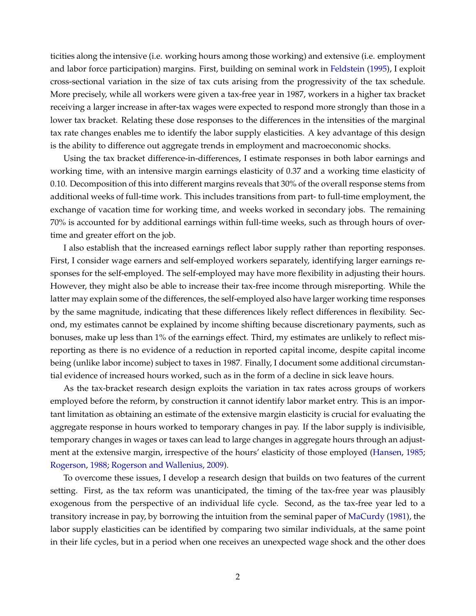ticities along the intensive (i.e. working hours among those working) and extensive (i.e. employment and labor force participation) margins. First, building on seminal work in [Feldstein](#page-33-3) [\(1995\)](#page-33-3), I exploit cross-sectional variation in the size of tax cuts arising from the progressivity of the tax schedule. More precisely, while all workers were given a tax-free year in 1987, workers in a higher tax bracket receiving a larger increase in after-tax wages were expected to respond more strongly than those in a lower tax bracket. Relating these dose responses to the differences in the intensities of the marginal tax rate changes enables me to identify the labor supply elasticities. A key advantage of this design is the ability to difference out aggregate trends in employment and macroeconomic shocks.

Using the tax bracket difference-in-differences, I estimate responses in both labor earnings and working time, with an intensive margin earnings elasticity of 0.37 and a working time elasticity of 0.10. Decomposition of this into different margins reveals that 30% of the overall response stems from additional weeks of full-time work. This includes transitions from part- to full-time employment, the exchange of vacation time for working time, and weeks worked in secondary jobs. The remaining 70% is accounted for by additional earnings within full-time weeks, such as through hours of overtime and greater effort on the job.

I also establish that the increased earnings reflect labor supply rather than reporting responses. First, I consider wage earners and self-employed workers separately, identifying larger earnings responses for the self-employed. The self-employed may have more flexibility in adjusting their hours. However, they might also be able to increase their tax-free income through misreporting. While the latter may explain some of the differences, the self-employed also have larger working time responses by the same magnitude, indicating that these differences likely reflect differences in flexibility. Second, my estimates cannot be explained by income shifting because discretionary payments, such as bonuses, make up less than 1% of the earnings effect. Third, my estimates are unlikely to reflect misreporting as there is no evidence of a reduction in reported capital income, despite capital income being (unlike labor income) subject to taxes in 1987. Finally, I document some additional circumstantial evidence of increased hours worked, such as in the form of a decline in sick leave hours.

As the tax-bracket research design exploits the variation in tax rates across groups of workers employed before the reform, by construction it cannot identify labor market entry. This is an important limitation as obtaining an estimate of the extensive margin elasticity is crucial for evaluating the aggregate response in hours worked to temporary changes in pay. If the labor supply is indivisible, temporary changes in wages or taxes can lead to large changes in aggregate hours through an adjustment at the extensive margin, irrespective of the hours' elasticity of those employed [\(Hansen,](#page-33-4) [1985;](#page-33-4) [Rogerson,](#page-34-2) [1988;](#page-34-2) [Rogerson and Wallenius,](#page-34-3) [2009\)](#page-34-3).

To overcome these issues, I develop a research design that builds on two features of the current setting. First, as the tax reform was unanticipated, the timing of the tax-free year was plausibly exogenous from the perspective of an individual life cycle. Second, as the tax-free year led to a transitory increase in pay, by borrowing the intuition from the seminal paper of [MaCurdy](#page-34-4) [\(1981\)](#page-34-4), the labor supply elasticities can be identified by comparing two similar individuals, at the same point in their life cycles, but in a period when one receives an unexpected wage shock and the other does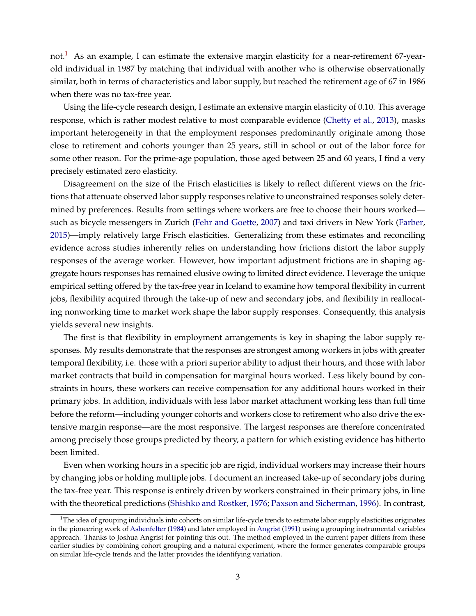not.<sup>[1](#page-3-0)</sup> As an example, I can estimate the extensive margin elasticity for a near-retirement 67-yearold individual in 1987 by matching that individual with another who is otherwise observationally similar, both in terms of characteristics and labor supply, but reached the retirement age of 67 in 1986 when there was no tax-free year.

Using the life-cycle research design, I estimate an extensive margin elasticity of 0.10. This average response, which is rather modest relative to most comparable evidence [\(Chetty et al.,](#page-33-5) [2013\)](#page-33-5), masks important heterogeneity in that the employment responses predominantly originate among those close to retirement and cohorts younger than 25 years, still in school or out of the labor force for some other reason. For the prime-age population, those aged between 25 and 60 years, I find a very precisely estimated zero elasticity.

Disagreement on the size of the Frisch elasticities is likely to reflect different views on the frictions that attenuate observed labor supply responses relative to unconstrained responses solely determined by preferences. Results from settings where workers are free to choose their hours worked such as bicycle messengers in Zurich [\(Fehr and Goette,](#page-33-6) [2007\)](#page-33-6) and taxi drivers in New York [\(Farber,](#page-33-7) [2015\)](#page-33-7)—imply relatively large Frisch elasticities. Generalizing from these estimates and reconciling evidence across studies inherently relies on understanding how frictions distort the labor supply responses of the average worker. However, how important adjustment frictions are in shaping aggregate hours responses has remained elusive owing to limited direct evidence. I leverage the unique empirical setting offered by the tax-free year in Iceland to examine how temporal flexibility in current jobs, flexibility acquired through the take-up of new and secondary jobs, and flexibility in reallocating nonworking time to market work shape the labor supply responses. Consequently, this analysis yields several new insights.

The first is that flexibility in employment arrangements is key in shaping the labor supply responses. My results demonstrate that the responses are strongest among workers in jobs with greater temporal flexibility, i.e. those with a priori superior ability to adjust their hours, and those with labor market contracts that build in compensation for marginal hours worked. Less likely bound by constraints in hours, these workers can receive compensation for any additional hours worked in their primary jobs. In addition, individuals with less labor market attachment working less than full time before the reform—including younger cohorts and workers close to retirement who also drive the extensive margin response—are the most responsive. The largest responses are therefore concentrated among precisely those groups predicted by theory, a pattern for which existing evidence has hitherto been limited.

Even when working hours in a specific job are rigid, individual workers may increase their hours by changing jobs or holding multiple jobs. I document an increased take-up of secondary jobs during the tax-free year. This response is entirely driven by workers constrained in their primary jobs, in line with the theoretical predictions [\(Shishko and Rostker,](#page-34-5) [1976;](#page-34-5) [Paxson and Sicherman,](#page-34-6) [1996\)](#page-34-6). In contrast,

<span id="page-3-0"></span><sup>&</sup>lt;sup>1</sup>The idea of grouping individuals into cohorts on similar life-cycle trends to estimate labor supply elasticities originates in the pioneering work of [Ashenfelter](#page-32-1) [\(1984\)](#page-32-1) and later employed in [Angrist](#page-32-2) [\(1991\)](#page-32-2) using a grouping instrumental variables approach. Thanks to Joshua Angrist for pointing this out. The method employed in the current paper differs from these earlier studies by combining cohort grouping and a natural experiment, where the former generates comparable groups on similar life-cycle trends and the latter provides the identifying variation.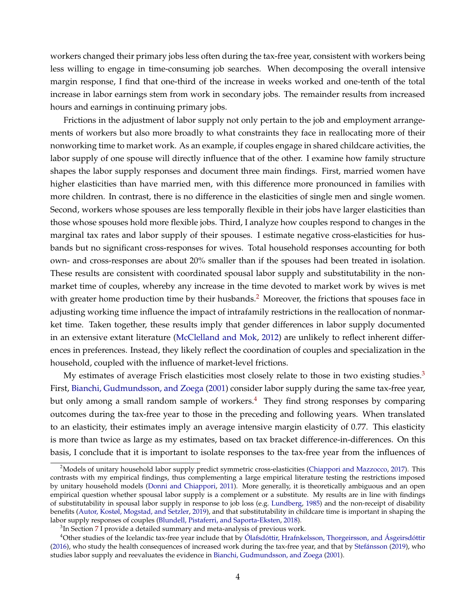workers changed their primary jobs less often during the tax-free year, consistent with workers being less willing to engage in time-consuming job searches. When decomposing the overall intensive margin response, I find that one-third of the increase in weeks worked and one-tenth of the total increase in labor earnings stem from work in secondary jobs. The remainder results from increased hours and earnings in continuing primary jobs.

Frictions in the adjustment of labor supply not only pertain to the job and employment arrangements of workers but also more broadly to what constraints they face in reallocating more of their nonworking time to market work. As an example, if couples engage in shared childcare activities, the labor supply of one spouse will directly influence that of the other. I examine how family structure shapes the labor supply responses and document three main findings. First, married women have higher elasticities than have married men, with this difference more pronounced in families with more children. In contrast, there is no difference in the elasticities of single men and single women. Second, workers whose spouses are less temporally flexible in their jobs have larger elasticities than those whose spouses hold more flexible jobs. Third, I analyze how couples respond to changes in the marginal tax rates and labor supply of their spouses. I estimate negative cross-elasticities for husbands but no significant cross-responses for wives. Total household responses accounting for both own- and cross-responses are about 20% smaller than if the spouses had been treated in isolation. These results are consistent with coordinated spousal labor supply and substitutability in the nonmarket time of couples, whereby any increase in the time devoted to market work by wives is met with greater home production time by their husbands.<sup>[2](#page-4-0)</sup> Moreover, the frictions that spouses face in adjusting working time influence the impact of intrafamily restrictions in the reallocation of nonmarket time. Taken together, these results imply that gender differences in labor supply documented in an extensive extant literature [\(McClelland and Mok,](#page-34-7) [2012\)](#page-34-7) are unlikely to reflect inherent differences in preferences. Instead, they likely reflect the coordination of couples and specialization in the household, coupled with the influence of market-level frictions.

My estimates of average Frisch elasticities most closely relate to those in two existing studies. $3$ First, [Bianchi, Gudmundsson, and Zoega](#page-32-3) [\(2001\)](#page-32-3) consider labor supply during the same tax-free year, but only among a small random sample of workers.<sup>[4](#page-4-2)</sup> They find strong responses by comparing outcomes during the tax-free year to those in the preceding and following years. When translated to an elasticity, their estimates imply an average intensive margin elasticity of 0.77. This elasticity is more than twice as large as my estimates, based on tax bracket difference-in-differences. On this basis, I conclude that it is important to isolate responses to the tax-free year from the influences of

<span id="page-4-0"></span><sup>&</sup>lt;sup>2</sup>Models of unitary household labor supply predict symmetric cross-elasticities [\(Chiappori and Mazzocco,](#page-33-8) [2017\)](#page-33-8). This contrasts with my empirical findings, thus complementing a large empirical literature testing the restrictions imposed by unitary household models [\(Donni and Chiappori,](#page-33-9) [2011\)](#page-33-9). More generally, it is theoretically ambiguous and an open empirical question whether spousal labor supply is a complement or a substitute. My results are in line with findings of substitutability in spousal labor supply in response to job loss (e.g. [Lundberg,](#page-34-8) [1985\)](#page-34-8) and the non-receipt of disability benefits [\(Autor, Kostøl, Mogstad, and Setzler,](#page-32-4) [2019\)](#page-32-4), and that substitutability in childcare time is important in shaping the labor supply responses of couples [\(Blundell, Pistaferri, and Saporta-Eksten,](#page-32-5) [2018\)](#page-32-5).

<span id="page-4-2"></span><span id="page-4-1"></span> ${}^{3}$ In Section [7](#page-27-0) I provide a detailed summary and meta-analysis of previous work.

 $4$ Other studies of the Icelandic tax-free year include that by [Ólafsdóttir, Hrafnkelsson, Thorgeirsson, and Ásgeirsdóttir](#page-34-9) [\(2016\)](#page-34-9), who study the health consequences of increased work during the tax-free year, and that by [Stefánsson](#page-34-10) [\(2019\)](#page-34-10), who studies labor supply and reevaluates the evidence in [Bianchi, Gudmundsson, and Zoega](#page-32-3) [\(2001\)](#page-32-3).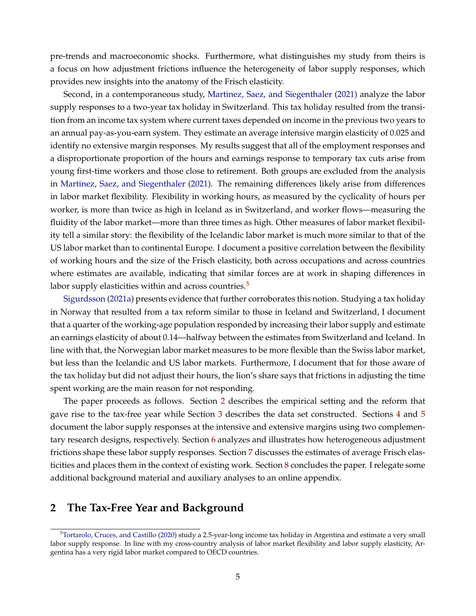pre-trends and macroeconomic shocks. Furthermore, what distinguishes my study from theirs is a focus on how adjustment frictions influence the heterogeneity of labor supply responses, which provides new insights into the anatomy of the Frisch elasticity.

Second, in a contemporaneous study, [Martinez, Saez, and Siegenthaler](#page-34-11) [\(2021\)](#page-34-11) analyze the labor supply responses to a two-year tax holiday in Switzerland. This tax holiday resulted from the transition from an income tax system where current taxes depended on income in the previous two years to an annual pay-as-you-earn system. They estimate an average intensive margin elasticity of 0.025 and identify no extensive margin responses. My results suggest that all of the employment responses and a disproportionate proportion of the hours and earnings response to temporary tax cuts arise from young first-time workers and those close to retirement. Both groups are excluded from the analysis in [Martinez, Saez, and Siegenthaler](#page-34-11) [\(2021\)](#page-34-11). The remaining differences likely arise from differences in labor market flexibility. Flexibility in working hours, as measured by the cyclicality of hours per worker, is more than twice as high in Iceland as in Switzerland, and worker flows—measuring the fluidity of the labor market—more than three times as high. Other measures of labor market flexibility tell a similar story: the flexibility of the Icelandic labor market is much more similar to that of the US labor market than to continental Europe. I document a positive correlation between the flexibility of working hours and the size of the Frisch elasticity, both across occupations and across countries where estimates are available, indicating that similar forces are at work in shaping differences in labor supply elasticities within and across countries.<sup>[5](#page-5-0)</sup>

[Sigurdsson](#page-34-12) [\(2021a\)](#page-34-12) presents evidence that further corroborates this notion. Studying a tax holiday in Norway that resulted from a tax reform similar to those in Iceland and Switzerland, I document that a quarter of the working-age population responded by increasing their labor supply and estimate an earnings elasticity of about 0.14—halfway between the estimates from Switzerland and Iceland. In line with that, the Norwegian labor market measures to be more flexible than the Swiss labor market, but less than the Icelandic and US labor markets. Furthermore, I document that for those aware of the tax holiday but did not adjust their hours, the lion's share says that frictions in adjusting the time spent working are the main reason for not responding.

The paper proceeds as follows. Section [2](#page-5-1) describes the empirical setting and the reform that gave rise to the tax-free year while Section [3](#page-8-0) describes the data set constructed. Sections [4](#page-9-0) and [5](#page-16-0) document the labor supply responses at the intensive and extensive margins using two complementary research designs, respectively. Section [6](#page-20-0) analyzes and illustrates how heterogeneous adjustment frictions shape these labor supply responses. Section [7](#page-27-0) discusses the estimates of average Frisch elasticities and places them in the context of existing work. Section [8](#page-31-0) concludes the paper. I relegate some additional background material and auxiliary analyses to an online appendix.

# <span id="page-5-1"></span>**2 The Tax-Free Year and Background**

<span id="page-5-0"></span><sup>&</sup>lt;sup>5</sup>[Tortarolo, Cruces, and Castillo](#page-35-0) [\(2020\)](#page-35-0) study a 2.5-year-long income tax holiday in Argentina and estimate a very small labor supply response. In line with my cross-country analysis of labor market flexibility and labor supply elasticity, Argentina has a very rigid labor market compared to OECD countries.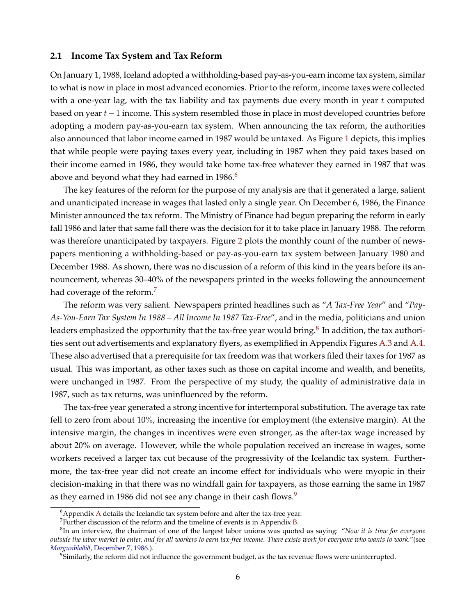#### **2.1 Income Tax System and Tax Reform**

On January 1, 1988, Iceland adopted a withholding-based pay-as-you-earn income tax system, similar to what is now in place in most advanced economies. Prior to the reform, income taxes were collected with a one-year lag, with the tax liability and tax payments due every month in year  $t$  computed based on year  $t-1$  income. This system resembled those in place in most developed countries before adopting a modern pay-as-you-earn tax system. When announcing the tax reform, the authorities also announced that labor income earned in 1987 would be untaxed. As Figure [1](#page-36-0) depicts, this implies that while people were paying taxes every year, including in 1987 when they paid taxes based on their income earned in 1986, they would take home tax-free whatever they earned in 1987 that was above and beyond what they had earned in 198[6](#page-6-0).<sup>6</sup>

The key features of the reform for the purpose of my analysis are that it generated a large, salient and unanticipated increase in wages that lasted only a single year. On December 6, 1986, the Finance Minister announced the tax reform. The Ministry of Finance had begun preparing the reform in early fall 1986 and later that same fall there was the decision for it to take place in January 1988. The reform was therefore unanticipated by taxpayers. Figure [2](#page-36-1) plots the monthly count of the number of newspapers mentioning a withholding-based or pay-as-you-earn tax system between January 1980 and December 1988. As shown, there was no discussion of a reform of this kind in the years before its announcement, whereas 30–40% of the newspapers printed in the weeks following the announcement had coverage of the reform.<sup>[7](#page-6-1)</sup>

The reform was very salient. Newspapers printed headlines such as "*A Tax-Free Year*" and "*Pay-As-You-Earn Tax System In 1988 – All Income In 1987 Tax-Free*", and in the media, politicians and union leaders emphasized the opportunity that the tax-free year would bring. $^8$  $^8$  In addition, the tax authorities sent out advertisements and explanatory flyers, as exemplified in Appendix Figures [A.3](#page-0-0) and [A.4.](#page-0-0) These also advertised that a prerequisite for tax freedom was that workers filed their taxes for 1987 as usual. This was important, as other taxes such as those on capital income and wealth, and benefits, were unchanged in 1987. From the perspective of my study, the quality of administrative data in 1987, such as tax returns, was uninfluenced by the reform.

The tax-free year generated a strong incentive for intertemporal substitution. The average tax rate fell to zero from about 10%, increasing the incentive for employment (the extensive margin). At the intensive margin, the changes in incentives were even stronger, as the after-tax wage increased by about 20% on average. However, while the whole population received an increase in wages, some workers received a larger tax cut because of the progressivity of the Icelandic tax system. Furthermore, the tax-free year did not create an income effect for individuals who were myopic in their decision-making in that there was no windfall gain for taxpayers, as those earning the same in 1987 as they earned in 1[9](#page-6-3)86 did not see any change in their cash flows.<sup>9</sup>

<span id="page-6-0"></span> $6A$  $6A$ ppendix A details the Icelandic tax system before and after the tax-free year.

<span id="page-6-2"></span><span id="page-6-1"></span><sup>&</sup>lt;sup>7</sup> Further discussion of the reform and the timeline of events is in Appendix [B.](#page-0-0)

<sup>8</sup> In an interview, the chairman of one of the largest labor unions was quoted as saying: "*Now it is time for everyone outside the labor market to enter, and for all workers to earn tax-free income. There exists work for everyone who wants to work.*"(see *Morgunblaðið*[, December 7, 1986.\)](http://timarit.is/files/32750510.jpg).

<span id="page-6-3"></span><sup>9</sup> Similarly, the reform did not influence the government budget, as the tax revenue flows were uninterrupted.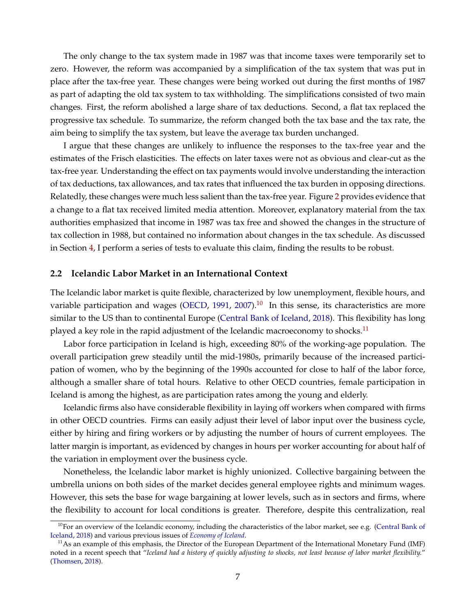The only change to the tax system made in 1987 was that income taxes were temporarily set to zero. However, the reform was accompanied by a simplification of the tax system that was put in place after the tax-free year. These changes were being worked out during the first months of 1987 as part of adapting the old tax system to tax withholding. The simplifications consisted of two main changes. First, the reform abolished a large share of tax deductions. Second, a flat tax replaced the progressive tax schedule. To summarize, the reform changed both the tax base and the tax rate, the aim being to simplify the tax system, but leave the average tax burden unchanged.

I argue that these changes are unlikely to influence the responses to the tax-free year and the estimates of the Frisch elasticities. The effects on later taxes were not as obvious and clear-cut as the tax-free year. Understanding the effect on tax payments would involve understanding the interaction of tax deductions, tax allowances, and tax rates that influenced the tax burden in opposing directions. Relatedly, these changes were much less salient than the tax-free year. Figure [2](#page-36-1) provides evidence that a change to a flat tax received limited media attention. Moreover, explanatory material from the tax authorities emphasized that income in 1987 was tax free and showed the changes in the structure of tax collection in 1988, but contained no information about changes in the tax schedule. As discussed in Section [4,](#page-9-0) I perform a series of tests to evaluate this claim, finding the results to be robust.

## **2.2 Icelandic Labor Market in an International Context**

The Icelandic labor market is quite flexible, characterized by low unemployment, flexible hours, and variable participation and wages [\(OECD,](#page-34-13) [1991,](#page-34-13) [2007\)](#page-34-14).<sup>[10](#page-7-0)</sup> In this sense, its characteristics are more similar to the US than to continental Europe [\(Central Bank of Iceland,](#page-32-6) [2018\)](#page-32-6). This flexibility has long played a key role in the rapid adjustment of the Icelandic macroeconomy to shocks.<sup>[11](#page-7-1)</sup>

Labor force participation in Iceland is high, exceeding 80% of the working-age population. The overall participation grew steadily until the mid-1980s, primarily because of the increased participation of women, who by the beginning of the 1990s accounted for close to half of the labor force, although a smaller share of total hours. Relative to other OECD countries, female participation in Iceland is among the highest, as are participation rates among the young and elderly.

Icelandic firms also have considerable flexibility in laying off workers when compared with firms in other OECD countries. Firms can easily adjust their level of labor input over the business cycle, either by hiring and firing workers or by adjusting the number of hours of current employees. The latter margin is important, as evidenced by changes in hours per worker accounting for about half of the variation in employment over the business cycle.

Nonetheless, the Icelandic labor market is highly unionized. Collective bargaining between the umbrella unions on both sides of the market decides general employee rights and minimum wages. However, this sets the base for wage bargaining at lower levels, such as in sectors and firms, where the flexibility to account for local conditions is greater. Therefore, despite this centralization, real

<span id="page-7-0"></span> $10$ For an overview of the Icelandic economy, including the characteristics of the labor market, see e.g. [\(Central Bank of](#page-32-6) [Iceland,](#page-32-6) [2018\)](#page-32-6) and various previous issues of *[Economy of Iceland](https://www.cb.is/publications/publications/publication/2018/10/05/Economy-of-Iceland-2018/)*.

<span id="page-7-1"></span> $11$ As an example of this emphasis, the Director of the European Department of the International Monetary Fund (IMF) noted in a recent speech that "*Iceland had a history of quickly adjusting to shocks, not least because of labor market flexibility.*" [\(Thomsen,](#page-34-15) [2018\)](#page-34-15).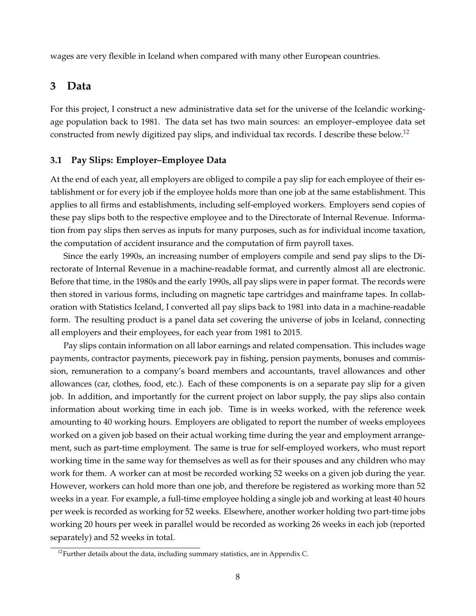wages are very flexible in Iceland when compared with many other European countries.

# <span id="page-8-0"></span>**3 Data**

For this project, I construct a new administrative data set for the universe of the Icelandic workingage population back to 1981. The data set has two main sources: an employer–employee data set constructed from newly digitized pay slips, and individual tax records. I describe these below.<sup>[12](#page-8-1)</sup>

## **3.1 Pay Slips: Employer–Employee Data**

At the end of each year, all employers are obliged to compile a pay slip for each employee of their establishment or for every job if the employee holds more than one job at the same establishment. This applies to all firms and establishments, including self-employed workers. Employers send copies of these pay slips both to the respective employee and to the Directorate of Internal Revenue. Information from pay slips then serves as inputs for many purposes, such as for individual income taxation, the computation of accident insurance and the computation of firm payroll taxes.

Since the early 1990s, an increasing number of employers compile and send pay slips to the Directorate of Internal Revenue in a machine-readable format, and currently almost all are electronic. Before that time, in the 1980s and the early 1990s, all pay slips were in paper format. The records were then stored in various forms, including on magnetic tape cartridges and mainframe tapes. In collaboration with Statistics Iceland, I converted all pay slips back to 1981 into data in a machine-readable form. The resulting product is a panel data set covering the universe of jobs in Iceland, connecting all employers and their employees, for each year from 1981 to 2015.

Pay slips contain information on all labor earnings and related compensation. This includes wage payments, contractor payments, piecework pay in fishing, pension payments, bonuses and commission, remuneration to a company's board members and accountants, travel allowances and other allowances (car, clothes, food, etc.). Each of these components is on a separate pay slip for a given job. In addition, and importantly for the current project on labor supply, the pay slips also contain information about working time in each job. Time is in weeks worked, with the reference week amounting to 40 working hours. Employers are obligated to report the number of weeks employees worked on a given job based on their actual working time during the year and employment arrangement, such as part-time employment. The same is true for self-employed workers, who must report working time in the same way for themselves as well as for their spouses and any children who may work for them. A worker can at most be recorded working 52 weeks on a given job during the year. However, workers can hold more than one job, and therefore be registered as working more than 52 weeks in a year. For example, a full-time employee holding a single job and working at least 40 hours per week is recorded as working for 52 weeks. Elsewhere, another worker holding two part-time jobs working 20 hours per week in parallel would be recorded as working 26 weeks in each job (reported separately) and 52 weeks in total.

<span id="page-8-1"></span> $12$ Further details about the data, including summary statistics, are in Appendix [C.](#page-0-0)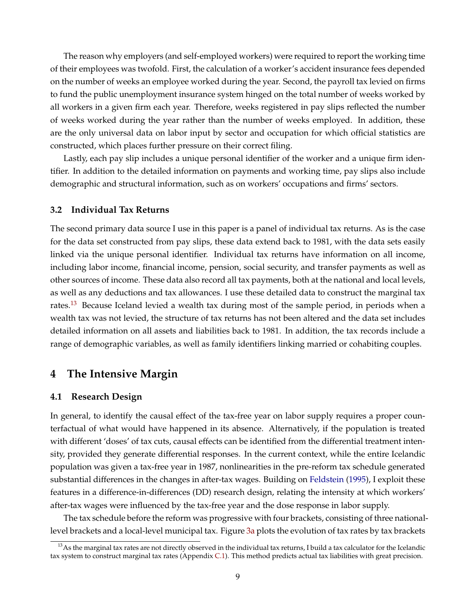The reason why employers (and self-employed workers) were required to report the working time of their employees was twofold. First, the calculation of a worker's accident insurance fees depended on the number of weeks an employee worked during the year. Second, the payroll tax levied on firms to fund the public unemployment insurance system hinged on the total number of weeks worked by all workers in a given firm each year. Therefore, weeks registered in pay slips reflected the number of weeks worked during the year rather than the number of weeks employed. In addition, these are the only universal data on labor input by sector and occupation for which official statistics are constructed, which places further pressure on their correct filing.

Lastly, each pay slip includes a unique personal identifier of the worker and a unique firm identifier. In addition to the detailed information on payments and working time, pay slips also include demographic and structural information, such as on workers' occupations and firms' sectors.

## **3.2 Individual Tax Returns**

The second primary data source I use in this paper is a panel of individual tax returns. As is the case for the data set constructed from pay slips, these data extend back to 1981, with the data sets easily linked via the unique personal identifier. Individual tax returns have information on all income, including labor income, financial income, pension, social security, and transfer payments as well as other sources of income. These data also record all tax payments, both at the national and local levels, as well as any deductions and tax allowances. I use these detailed data to construct the marginal tax rates.<sup>[13](#page-9-1)</sup> Because Iceland levied a wealth tax during most of the sample period, in periods when a wealth tax was not levied, the structure of tax returns has not been altered and the data set includes detailed information on all assets and liabilities back to 1981. In addition, the tax records include a range of demographic variables, as well as family identifiers linking married or cohabiting couples.

# <span id="page-9-0"></span>**4 The Intensive Margin**

## **4.1 Research Design**

In general, to identify the causal effect of the tax-free year on labor supply requires a proper counterfactual of what would have happened in its absence. Alternatively, if the population is treated with different 'doses' of tax cuts, causal effects can be identified from the differential treatment intensity, provided they generate differential responses. In the current context, while the entire Icelandic population was given a tax-free year in 1987, nonlinearities in the pre-reform tax schedule generated substantial differences in the changes in after-tax wages. Building on [Feldstein](#page-33-3) [\(1995\)](#page-33-3), I exploit these features in a difference-in-differences (DD) research design, relating the intensity at which workers' after-tax wages were influenced by the tax-free year and the dose response in labor supply.

The tax schedule before the reform was progressive with four brackets, consisting of three nationallevel brackets and a local-level municipal tax. Figure [3a](#page-37-0) plots the evolution of tax rates by tax brackets

<span id="page-9-1"></span><sup>&</sup>lt;sup>13</sup>As the marginal tax rates are not directly observed in the individual tax returns, I build a tax calculator for the Icelandic tax system to construct marginal tax rates (Appendix [C.1\)](#page-0-0). This method predicts actual tax liabilities with great precision.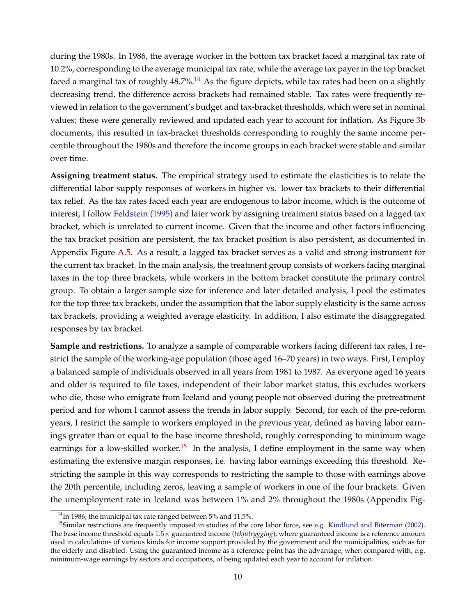during the 1980s. In 1986, the average worker in the bottom tax bracket faced a marginal tax rate of 10.2%, corresponding to the average municipal tax rate, while the average tax payer in the top bracket faced a marginal tax of roughly  $48.7\%$ .<sup>[14](#page-10-0)</sup> As the figure depicts, while tax rates had been on a slightly decreasing trend, the difference across brackets had remained stable. Tax rates were frequently reviewed in relation to the government's budget and tax-bracket thresholds, which were set in nominal values; these were generally reviewed and updated each year to account for inflation. As Figure [3b](#page-37-1) documents, this resulted in tax-bracket thresholds corresponding to roughly the same income percentile throughout the 1980s and therefore the income groups in each bracket were stable and similar over time.

**Assigning treatment status.** The empirical strategy used to estimate the elasticities is to relate the differential labor supply responses of workers in higher vs. lower tax brackets to their differential tax relief. As the tax rates faced each year are endogenous to labor income, which is the outcome of interest, I follow [Feldstein](#page-33-3) [\(1995\)](#page-33-3) and later work by assigning treatment status based on a lagged tax bracket, which is unrelated to current income. Given that the income and other factors influencing the tax bracket position are persistent, the tax bracket position is also persistent, as documented in Appendix Figure [A.5.](#page-0-0) As a result, a lagged tax bracket serves as a valid and strong instrument for the current tax bracket. In the main analysis, the treatment group consists of workers facing marginal taxes in the top three brackets, while workers in the bottom bracket constitute the primary control group. To obtain a larger sample size for inference and later detailed analysis, I pool the estimates for the top three tax brackets, under the assumption that the labor supply elasticity is the same across tax brackets, providing a weighted average elasticity. In addition, I also estimate the disaggregated responses by tax bracket.

**Sample and restrictions.** To analyze a sample of comparable workers facing different tax rates, I restrict the sample of the working-age population (those aged 16–70 years) in two ways. First, I employ a balanced sample of individuals observed in all years from 1981 to 1987. As everyone aged 16 years and older is required to file taxes, independent of their labor market status, this excludes workers who die, those who emigrate from Iceland and young people not observed during the pretreatment period and for whom I cannot assess the trends in labor supply. Second, for each of the pre-reform years, I restrict the sample to workers employed in the previous year, defined as having labor earnings greater than or equal to the base income threshold, roughly corresponding to minimum wage earnings for a low-skilled worker.<sup>[15](#page-10-1)</sup> In the analysis, I define employment in the same way when estimating the extensive margin responses, i.e. having labor earnings exceeding this threshold. Restricting the sample in this way corresponds to restricting the sample to those with earnings above the 20th percentile, including zeros, leaving a sample of workers in one of the four brackets. Given the unemployment rate in Iceland was between 1% and 2% throughout the 1980s (Appendix Fig-

<span id="page-10-1"></span><span id="page-10-0"></span> $14$ In 1986, the municipal tax rate ranged between 5% and 11.5%.

 $15$ Similar restrictions are frequently imposed in studies of the core labor force, see e.g. [Kindlund and Biterman](#page-33-10) [\(2002\)](#page-33-10). The base income threshold equals 1.5 x guaranteed income (*tekjutrygging*), where guaranteed income is a reference amount used in calculations of various kinds for income support provided by the government and the municipalities, such as for the elderly and disabled. Using the guaranteed income as a reference point has the advantage, when compared with, e.g. minimum-wage earnings by sectors and occupations, of being updated each year to account for inflation.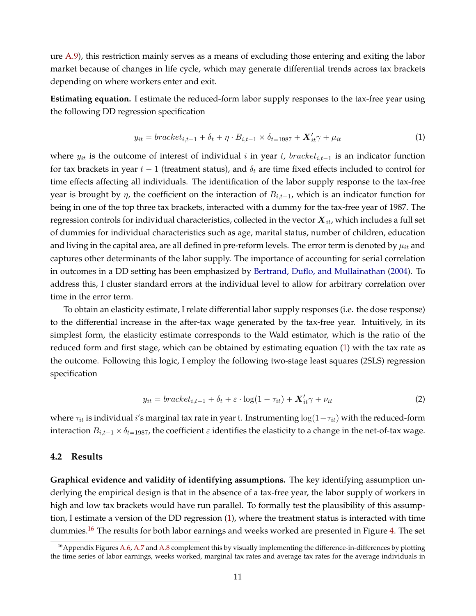ure [A.9\)](#page-0-0), this restriction mainly serves as a means of excluding those entering and exiting the labor market because of changes in life cycle, which may generate differential trends across tax brackets depending on where workers enter and exit.

**Estimating equation.** I estimate the reduced-form labor supply responses to the tax-free year using the following DD regression specification

<span id="page-11-0"></span>
$$
y_{it} = bracket_{i,t-1} + \delta_t + \eta \cdot B_{i,t-1} \times \delta_{t=1987} + \mathbf{X}_{it}' \gamma + \mu_{it}
$$
\n
$$
\tag{1}
$$

where  $y_{it}$  is the outcome of interest of individual i in year t, bracket<sub>i,t-1</sub> is an indicator function for tax brackets in year  $t - 1$  (treatment status), and  $\delta_t$  are time fixed effects included to control for time effects affecting all individuals. The identification of the labor supply response to the tax-free year is brought by  $\eta$ , the coefficient on the interaction of  $B_{i,t-1}$ , which is an indicator function for being in one of the top three tax brackets, interacted with a dummy for the tax-free year of 1987. The regression controls for individual characteristics, collected in the vector  $X_{it}$ , which includes a full set of dummies for individual characteristics such as age, marital status, number of children, education and living in the capital area, are all defined in pre-reform levels. The error term is denoted by  $\mu_{it}$  and captures other determinants of the labor supply. The importance of accounting for serial correlation in outcomes in a DD setting has been emphasized by [Bertrand, Duflo, and Mullainathan](#page-32-7) [\(2004\)](#page-32-7). To address this, I cluster standard errors at the individual level to allow for arbitrary correlation over time in the error term.

To obtain an elasticity estimate, I relate differential labor supply responses (i.e. the dose response) to the differential increase in the after-tax wage generated by the tax-free year. Intuitively, in its simplest form, the elasticity estimate corresponds to the Wald estimator, which is the ratio of the reduced form and first stage, which can be obtained by estimating equation [\(1\)](#page-11-0) with the tax rate as the outcome. Following this logic, I employ the following two-stage least squares (2SLS) regression specification

<span id="page-11-2"></span>
$$
y_{it} = bracket_{i,t-1} + \delta_t + \varepsilon \cdot \log(1 - \tau_{it}) + \mathbf{X}_{it}' \gamma + \nu_{it}
$$
 (2)

where  $\tau_{it}$  is individual i's marginal tax rate in year t. Instrumenting  $\log(1-\tau_{it})$  with the reduced-form interaction  $B_{i,t-1} \times \delta_{t=1987}$ , the coefficient  $\varepsilon$  identifies the elasticity to a change in the net-of-tax wage.

## **4.2 Results**

**Graphical evidence and validity of identifying assumptions.** The key identifying assumption underlying the empirical design is that in the absence of a tax-free year, the labor supply of workers in high and low tax brackets would have run parallel. To formally test the plausibility of this assumption, I estimate a version of the DD regression [\(1\)](#page-11-0), where the treatment status is interacted with time dummies.<sup>[16](#page-11-1)</sup> The results for both labor earnings and weeks worked are presented in Figure [4.](#page-38-0) The set

<span id="page-11-1"></span><sup>&</sup>lt;sup>16</sup> Appendix Figures [A.6,](#page-0-0) [A.7](#page-0-0) and [A.8](#page-0-0) complement this by visually implementing the difference-in-differences by plotting the time series of labor earnings, weeks worked, marginal tax rates and average tax rates for the average individuals in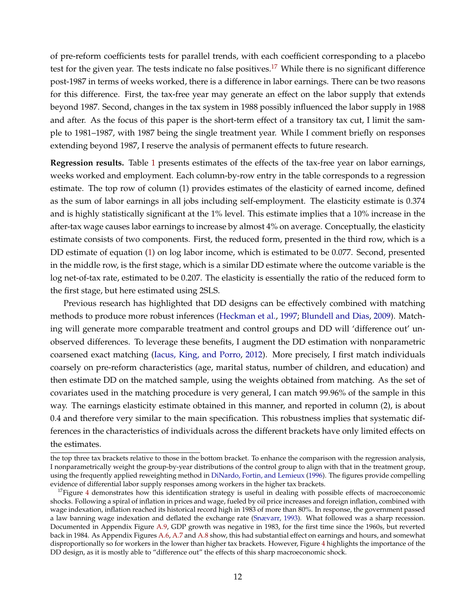of pre-reform coefficients tests for parallel trends, with each coefficient corresponding to a placebo test for the given year. The tests indicate no false positives.<sup>[17](#page-12-0)</sup> While there is no significant difference post-1987 in terms of weeks worked, there is a difference in labor earnings. There can be two reasons for this difference. First, the tax-free year may generate an effect on the labor supply that extends beyond 1987. Second, changes in the tax system in 1988 possibly influenced the labor supply in 1988 and after. As the focus of this paper is the short-term effect of a transitory tax cut, I limit the sample to 1981–1987, with 1987 being the single treatment year. While I comment briefly on responses extending beyond 1987, I reserve the analysis of permanent effects to future research.

**Regression results.** Table [1](#page-45-0) presents estimates of the effects of the tax-free year on labor earnings, weeks worked and employment. Each column-by-row entry in the table corresponds to a regression estimate. The top row of column (1) provides estimates of the elasticity of earned income, defined as the sum of labor earnings in all jobs including self-employment. The elasticity estimate is 0.374 and is highly statistically significant at the 1% level. This estimate implies that a 10% increase in the after-tax wage causes labor earnings to increase by almost 4% on average. Conceptually, the elasticity estimate consists of two components. First, the reduced form, presented in the third row, which is a DD estimate of equation [\(1\)](#page-11-0) on log labor income, which is estimated to be 0.077. Second, presented in the middle row, is the first stage, which is a similar DD estimate where the outcome variable is the log net-of-tax rate, estimated to be 0.207. The elasticity is essentially the ratio of the reduced form to the first stage, but here estimated using 2SLS.

Previous research has highlighted that DD designs can be effectively combined with matching methods to produce more robust inferences [\(Heckman et al.,](#page-33-11) [1997;](#page-33-11) [Blundell and Dias,](#page-32-8) [2009\)](#page-32-8). Matching will generate more comparable treatment and control groups and DD will 'difference out' unobserved differences. To leverage these benefits, I augment the DD estimation with nonparametric coarsened exact matching [\(Iacus, King, and Porro,](#page-33-12) [2012\)](#page-33-12). More precisely, I first match individuals coarsely on pre-reform characteristics (age, marital status, number of children, and education) and then estimate DD on the matched sample, using the weights obtained from matching. As the set of covariates used in the matching procedure is very general, I can match 99.96% of the sample in this way. The earnings elasticity estimate obtained in this manner, and reported in column (2), is about 0.4 and therefore very similar to the main specification. This robustness implies that systematic differences in the characteristics of individuals across the different brackets have only limited effects on the estimates.

the top three tax brackets relative to those in the bottom bracket. To enhance the comparison with the regression analysis, I nonparametrically weight the group-by-year distributions of the control group to align with that in the treatment group, using the frequently applied reweighting method in [DiNardo, Fortin, and Lemieux](#page-33-13) [\(1996\)](#page-33-13). The figures provide compelling evidence of differential labor supply responses among workers in the higher tax brackets.

<span id="page-12-0"></span><sup>&</sup>lt;sup>17</sup>Figure [4](#page-38-0) demonstrates how this identification strategy is useful in dealing with possible effects of macroeconomic shocks. Following a spiral of inflation in prices and wage, fueled by oil price increases and foreign inflation, combined with wage indexation, inflation reached its historical record high in 1983 of more than 80%. In response, the government passed a law banning wage indexation and deflated the exchange rate [\(Snævarr,](#page-34-16) [1993\)](#page-34-16). What followed was a sharp recession. Documented in Appendix Figure [A.9,](#page-0-0) GDP growth was negative in 1983, for the first time since the 1960s, but reverted back in 1984. As Appendix Figures [A.6,](#page-0-0) [A.7](#page-0-0) and [A.8](#page-0-0) show, this had substantial effect on earnings and hours, and somewhat disproportionally so for workers in the lower than higher tax brackets. However, Figure [4](#page-38-0) highlights the importance of the DD design, as it is mostly able to "difference out" the effects of this sharp macroeconomic shock.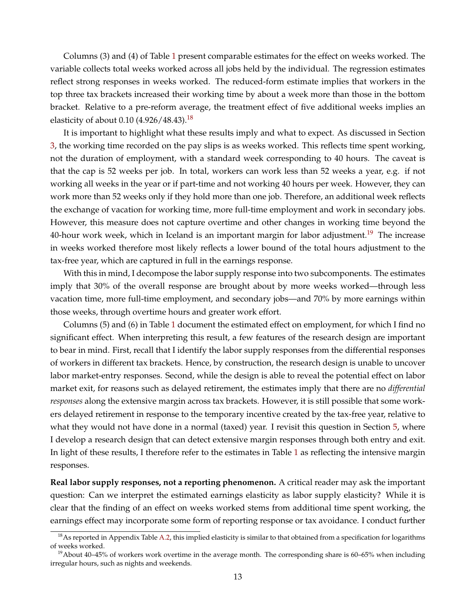Columns (3) and (4) of Table [1](#page-45-0) present comparable estimates for the effect on weeks worked. The variable collects total weeks worked across all jobs held by the individual. The regression estimates reflect strong responses in weeks worked. The reduced-form estimate implies that workers in the top three tax brackets increased their working time by about a week more than those in the bottom bracket. Relative to a pre-reform average, the treatment effect of five additional weeks implies an elasticity of about 0.10  $(4.926/48.43).^{18}$  $(4.926/48.43).^{18}$  $(4.926/48.43).^{18}$ 

It is important to highlight what these results imply and what to expect. As discussed in Section [3,](#page-8-0) the working time recorded on the pay slips is as weeks worked. This reflects time spent working, not the duration of employment, with a standard week corresponding to 40 hours. The caveat is that the cap is 52 weeks per job. In total, workers can work less than 52 weeks a year, e.g. if not working all weeks in the year or if part-time and not working 40 hours per week. However, they can work more than 52 weeks only if they hold more than one job. Therefore, an additional week reflects the exchange of vacation for working time, more full-time employment and work in secondary jobs. However, this measure does not capture overtime and other changes in working time beyond the 40-hour work week, which in Iceland is an important margin for labor adjustment.<sup>[19](#page-13-1)</sup> The increase in weeks worked therefore most likely reflects a lower bound of the total hours adjustment to the tax-free year, which are captured in full in the earnings response.

With this in mind, I decompose the labor supply response into two subcomponents. The estimates imply that 30% of the overall response are brought about by more weeks worked—through less vacation time, more full-time employment, and secondary jobs—and 70% by more earnings within those weeks, through overtime hours and greater work effort.

Columns (5) and (6) in Table [1](#page-45-0) document the estimated effect on employment, for which I find no significant effect. When interpreting this result, a few features of the research design are important to bear in mind. First, recall that I identify the labor supply responses from the differential responses of workers in different tax brackets. Hence, by construction, the research design is unable to uncover labor market-entry responses. Second, while the design is able to reveal the potential effect on labor market exit, for reasons such as delayed retirement, the estimates imply that there are no *differential responses* along the extensive margin across tax brackets. However, it is still possible that some workers delayed retirement in response to the temporary incentive created by the tax-free year, relative to what they would not have done in a normal (taxed) year. I revisit this question in Section [5,](#page-16-0) where I develop a research design that can detect extensive margin responses through both entry and exit. In light of these results, I therefore refer to the estimates in Table [1](#page-45-0) as reflecting the intensive margin responses.

**Real labor supply responses, not a reporting phenomenon.** A critical reader may ask the important question: Can we interpret the estimated earnings elasticity as labor supply elasticity? While it is clear that the finding of an effect on weeks worked stems from additional time spent working, the earnings effect may incorporate some form of reporting response or tax avoidance. I conduct further

<span id="page-13-0"></span> $18$ As reported in Appendix Table [A.2,](#page-0-0) this implied elasticity is similar to that obtained from a specification for logarithms of weeks worked.

<span id="page-13-1"></span><sup>&</sup>lt;sup>19</sup>About 40–45% of workers work overtime in the average month. The corresponding share is 60–65% when including irregular hours, such as nights and weekends.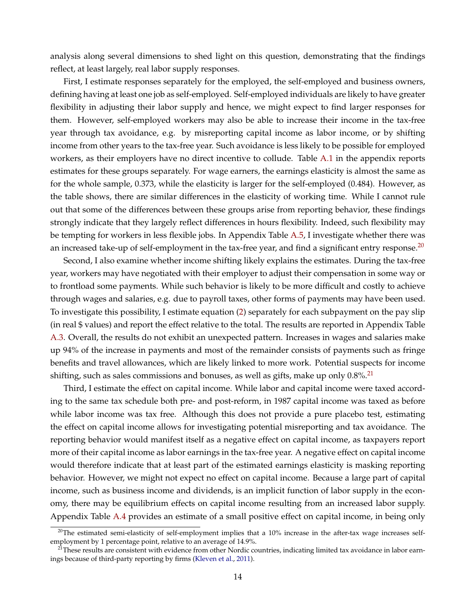analysis along several dimensions to shed light on this question, demonstrating that the findings reflect, at least largely, real labor supply responses.

First, I estimate responses separately for the employed, the self-employed and business owners, defining having at least one job as self-employed. Self-employed individuals are likely to have greater flexibility in adjusting their labor supply and hence, we might expect to find larger responses for them. However, self-employed workers may also be able to increase their income in the tax-free year through tax avoidance, e.g. by misreporting capital income as labor income, or by shifting income from other years to the tax-free year. Such avoidance is less likely to be possible for employed workers, as their employers have no direct incentive to collude. Table [A.1](#page-0-0) in the appendix reports estimates for these groups separately. For wage earners, the earnings elasticity is almost the same as for the whole sample, 0.373, while the elasticity is larger for the self-employed (0.484). However, as the table shows, there are similar differences in the elasticity of working time. While I cannot rule out that some of the differences between these groups arise from reporting behavior, these findings strongly indicate that they largely reflect differences in hours flexibility. Indeed, such flexibility may be tempting for workers in less flexible jobs. In Appendix Table [A.5,](#page-0-0) I investigate whether there was an increased take-up of self-employment in the tax-free year, and find a significant entry response. $^{20}$  $^{20}$  $^{20}$ 

Second, I also examine whether income shifting likely explains the estimates. During the tax-free year, workers may have negotiated with their employer to adjust their compensation in some way or to frontload some payments. While such behavior is likely to be more difficult and costly to achieve through wages and salaries, e.g. due to payroll taxes, other forms of payments may have been used. To investigate this possibility, I estimate equation [\(2\)](#page-11-2) separately for each subpayment on the pay slip (in real \$ values) and report the effect relative to the total. The results are reported in Appendix Table [A.3.](#page-0-0) Overall, the results do not exhibit an unexpected pattern. Increases in wages and salaries make up 94% of the increase in payments and most of the remainder consists of payments such as fringe benefits and travel allowances, which are likely linked to more work. Potential suspects for income shifting, such as sales commissions and bonuses, as well as gifts, make up only  $0.8\%$ <sup>[21](#page-14-1)</sup>

Third, I estimate the effect on capital income. While labor and capital income were taxed according to the same tax schedule both pre- and post-reform, in 1987 capital income was taxed as before while labor income was tax free. Although this does not provide a pure placebo test, estimating the effect on capital income allows for investigating potential misreporting and tax avoidance. The reporting behavior would manifest itself as a negative effect on capital income, as taxpayers report more of their capital income as labor earnings in the tax-free year. A negative effect on capital income would therefore indicate that at least part of the estimated earnings elasticity is masking reporting behavior. However, we might not expect no effect on capital income. Because a large part of capital income, such as business income and dividends, is an implicit function of labor supply in the economy, there may be equilibrium effects on capital income resulting from an increased labor supply. Appendix Table [A.4](#page-0-0) provides an estimate of a small positive effect on capital income, in being only

<span id="page-14-0"></span> $^{20}$ The estimated semi-elasticity of self-employment implies that a 10% increase in the after-tax wage increases selfemployment by 1 percentage point, relative to an average of 14.9%.

<span id="page-14-1"></span><sup>&</sup>lt;sup>21</sup>These results are consistent with evidence from other Nordic countries, indicating limited tax avoidance in labor earnings because of third-party reporting by firms [\(Kleven et al.,](#page-34-17) [2011\)](#page-34-17).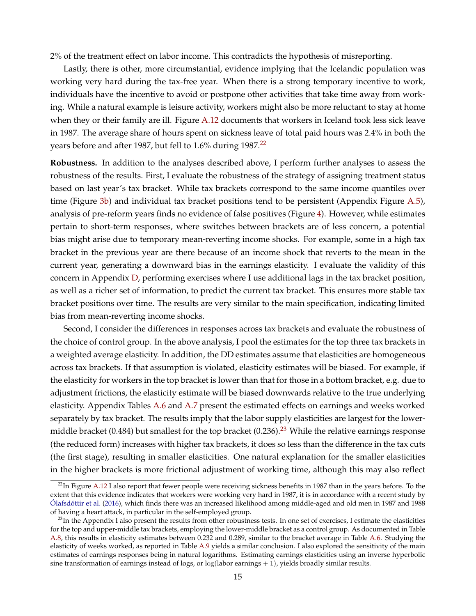2% of the treatment effect on labor income. This contradicts the hypothesis of misreporting.

Lastly, there is other, more circumstantial, evidence implying that the Icelandic population was working very hard during the tax-free year. When there is a strong temporary incentive to work, individuals have the incentive to avoid or postpone other activities that take time away from working. While a natural example is leisure activity, workers might also be more reluctant to stay at home when they or their family are ill. Figure [A.12](#page-0-0) documents that workers in Iceland took less sick leave in 1987. The average share of hours spent on sickness leave of total paid hours was 2.4% in both the years before and after 1987, but fell to  $1.6\%$  during 1987.<sup>[22](#page-15-0)</sup>

**Robustness.** In addition to the analyses described above, I perform further analyses to assess the robustness of the results. First, I evaluate the robustness of the strategy of assigning treatment status based on last year's tax bracket. While tax brackets correspond to the same income quantiles over time (Figure [3b\)](#page-37-1) and individual tax bracket positions tend to be persistent (Appendix Figure [A.5\)](#page-0-0), analysis of pre-reform years finds no evidence of false positives (Figure [4\)](#page-38-0). However, while estimates pertain to short-term responses, where switches between brackets are of less concern, a potential bias might arise due to temporary mean-reverting income shocks. For example, some in a high tax bracket in the previous year are there because of an income shock that reverts to the mean in the current year, generating a downward bias in the earnings elasticity. I evaluate the validity of this concern in Appendix [D,](#page-0-0) performing exercises where I use additional lags in the tax bracket position, as well as a richer set of information, to predict the current tax bracket. This ensures more stable tax bracket positions over time. The results are very similar to the main specification, indicating limited bias from mean-reverting income shocks.

Second, I consider the differences in responses across tax brackets and evaluate the robustness of the choice of control group. In the above analysis, I pool the estimates for the top three tax brackets in a weighted average elasticity. In addition, the DD estimates assume that elasticities are homogeneous across tax brackets. If that assumption is violated, elasticity estimates will be biased. For example, if the elasticity for workers in the top bracket is lower than that for those in a bottom bracket, e.g. due to adjustment frictions, the elasticity estimate will be biased downwards relative to the true underlying elasticity. Appendix Tables [A.6](#page-0-0) and [A.7](#page-0-0) present the estimated effects on earnings and weeks worked separately by tax bracket. The results imply that the labor supply elasticities are largest for the lower-middle bracket (0.484) but smallest for the top bracket (0.[23](#page-15-1)6).<sup>23</sup> While the relative earnings response (the reduced form) increases with higher tax brackets, it does so less than the difference in the tax cuts (the first stage), resulting in smaller elasticities. One natural explanation for the smaller elasticities in the higher brackets is more frictional adjustment of working time, although this may also reflect

<span id="page-15-0"></span> $^{22}$ In Figure [A.12](#page-0-0) I also report that fewer people were receiving sickness benefits in 1987 than in the years before. To the extent that this evidence indicates that workers were working very hard in 1987, it is in accordance with a recent study by [Ólafsdóttir et al.](#page-34-9) [\(2016\)](#page-34-9), which finds there was an increased likelihood among middle-aged and old men in 1987 and 1988 of having a heart attack, in particular in the self-employed group.

<span id="page-15-1"></span><sup>&</sup>lt;sup>23</sup>In the Appendix I also present the results from other robustness tests. In one set of exercises, I estimate the elasticities for the top and upper-middle tax brackets, employing the lower-middle bracket as a control group. As documented in Table [A.8,](#page-0-0) this results in elasticity estimates between 0.232 and 0.289, similar to the bracket average in Table [A.6.](#page-0-0) Studying the elasticity of weeks worked, as reported in Table [A.9](#page-0-0) yields a similar conclusion. I also explored the sensitivity of the main estimates of earnings responses being in natural logarithms. Estimating earnings elasticities using an inverse hyperbolic sine transformation of earnings instead of logs, or  $log($ labor earnings  $+1)$ , yields broadly similar results.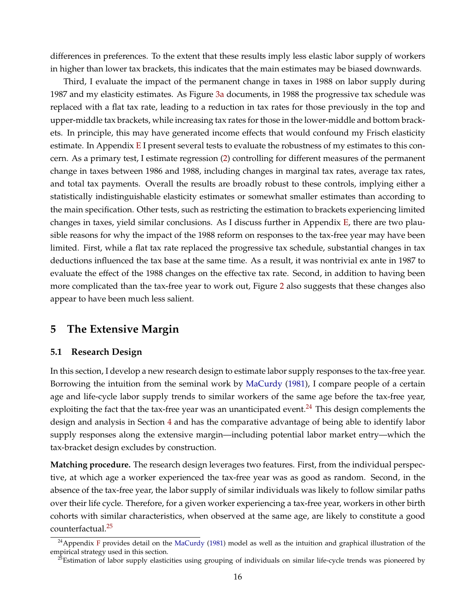differences in preferences. To the extent that these results imply less elastic labor supply of workers in higher than lower tax brackets, this indicates that the main estimates may be biased downwards.

Third, I evaluate the impact of the permanent change in taxes in 1988 on labor supply during 1987 and my elasticity estimates. As Figure [3a](#page-37-0) documents, in 1988 the progressive tax schedule was replaced with a flat tax rate, leading to a reduction in tax rates for those previously in the top and upper-middle tax brackets, while increasing tax rates for those in the lower-middle and bottom brackets. In principle, this may have generated income effects that would confound my Frisch elasticity estimate. In Appendix [E](#page-0-0) I present several tests to evaluate the robustness of my estimates to this concern. As a primary test, I estimate regression [\(2\)](#page-11-2) controlling for different measures of the permanent change in taxes between 1986 and 1988, including changes in marginal tax rates, average tax rates, and total tax payments. Overall the results are broadly robust to these controls, implying either a statistically indistinguishable elasticity estimates or somewhat smaller estimates than according to the main specification. Other tests, such as restricting the estimation to brackets experiencing limited changes in taxes, yield similar conclusions. As I discuss further in Appendix  $E$ , there are two plausible reasons for why the impact of the 1988 reform on responses to the tax-free year may have been limited. First, while a flat tax rate replaced the progressive tax schedule, substantial changes in tax deductions influenced the tax base at the same time. As a result, it was nontrivial ex ante in 1987 to evaluate the effect of the 1988 changes on the effective tax rate. Second, in addition to having been more complicated than the tax-free year to work out, Figure [2](#page-36-1) also suggests that these changes also appear to have been much less salient.

# <span id="page-16-0"></span>**5 The Extensive Margin**

## **5.1 Research Design**

In this section, I develop a new research design to estimate labor supply responses to the tax-free year. Borrowing the intuition from the seminal work by [MaCurdy](#page-34-4) [\(1981\)](#page-34-4), I compare people of a certain age and life-cycle labor supply trends to similar workers of the same age before the tax-free year, exploiting the fact that the tax-free year was an unanticipated event.<sup>[24](#page-16-1)</sup> This design complements the design and analysis in Section [4](#page-9-0) and has the comparative advantage of being able to identify labor supply responses along the extensive margin—including potential labor market entry—which the tax-bracket design excludes by construction.

**Matching procedure.** The research design leverages two features. First, from the individual perspective, at which age a worker experienced the tax-free year was as good as random. Second, in the absence of the tax-free year, the labor supply of similar individuals was likely to follow similar paths over their life cycle. Therefore, for a given worker experiencing a tax-free year, workers in other birth cohorts with similar characteristics, when observed at the same age, are likely to constitute a good counterfactual.[25](#page-16-2)

<span id="page-16-1"></span> $^{24}$ Appendix [F](#page-0-0) provides detail on the [MaCurdy](#page-34-4) [\(1981\)](#page-34-4) model as well as the intuition and graphical illustration of the empirical strategy used in this section.

<span id="page-16-2"></span><sup>&</sup>lt;sup>25</sup>Estimation of labor supply elasticities using grouping of individuals on similar life-cycle trends was pioneered by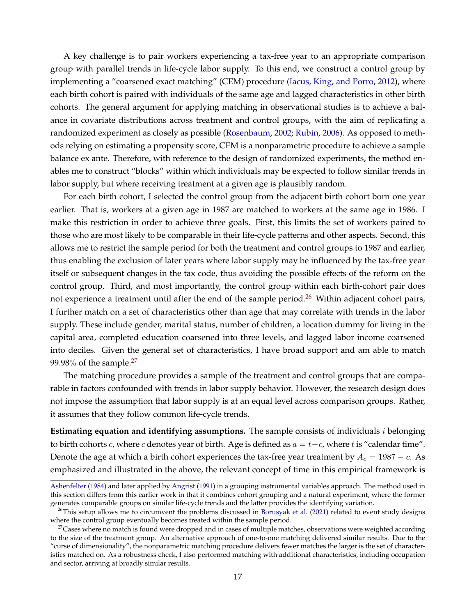A key challenge is to pair workers experiencing a tax-free year to an appropriate comparison group with parallel trends in life-cycle labor supply. To this end, we construct a control group by implementing a "coarsened exact matching" (CEM) procedure [\(Iacus, King, and Porro,](#page-33-12) [2012\)](#page-33-12), where each birth cohort is paired with individuals of the same age and lagged characteristics in other birth cohorts. The general argument for applying matching in observational studies is to achieve a balance in covariate distributions across treatment and control groups, with the aim of replicating a randomized experiment as closely as possible [\(Rosenbaum,](#page-34-18) [2002;](#page-34-18) [Rubin,](#page-34-19) [2006\)](#page-34-19). As opposed to methods relying on estimating a propensity score, CEM is a nonparametric procedure to achieve a sample balance ex ante. Therefore, with reference to the design of randomized experiments, the method enables me to construct "blocks" within which individuals may be expected to follow similar trends in labor supply, but where receiving treatment at a given age is plausibly random.

For each birth cohort, I selected the control group from the adjacent birth cohort born one year earlier. That is, workers at a given age in 1987 are matched to workers at the same age in 1986. I make this restriction in order to achieve three goals. First, this limits the set of workers paired to those who are most likely to be comparable in their life-cycle patterns and other aspects. Second, this allows me to restrict the sample period for both the treatment and control groups to 1987 and earlier, thus enabling the exclusion of later years where labor supply may be influenced by the tax-free year itself or subsequent changes in the tax code, thus avoiding the possible effects of the reform on the control group. Third, and most importantly, the control group within each birth-cohort pair does not experience a treatment until after the end of the sample period.<sup>[26](#page-17-0)</sup> Within adjacent cohort pairs, I further match on a set of characteristics other than age that may correlate with trends in the labor supply. These include gender, marital status, number of children, a location dummy for living in the capital area, completed education coarsened into three levels, and lagged labor income coarsened into deciles. Given the general set of characteristics, I have broad support and am able to match 99.98% of the sample. $27$ 

The matching procedure provides a sample of the treatment and control groups that are comparable in factors confounded with trends in labor supply behavior. However, the research design does not impose the assumption that labor supply is at an equal level across comparison groups. Rather, it assumes that they follow common life-cycle trends.

**Estimating equation and identifying assumptions.** The sample consists of individuals i belonging to birth cohorts c, where c denotes year of birth. Age is defined as  $a = t - c$ , where t is "calendar time". Denote the age at which a birth cohort experiences the tax-free year treatment by  $A_c = 1987 - c$ . As emphasized and illustrated in the above, the relevant concept of time in this empirical framework is

[Ashenfelter](#page-32-1) [\(1984\)](#page-32-1) and later applied by [Angrist](#page-32-2) [\(1991\)](#page-32-2) in a grouping instrumental variables approach. The method used in this section differs from this earlier work in that it combines cohort grouping and a natural experiment, where the former generates comparable groups on similar life-cycle trends and the latter provides the identifying variation.

<span id="page-17-0"></span> $^{26}$ This setup allows me to circumvent the problems discussed in [Borusyak et al.](#page-32-9) [\(2021\)](#page-32-9) related to event study designs where the control group eventually becomes treated within the sample period.

<span id="page-17-1"></span> $27$ Cases where no match is found were dropped and in cases of multiple matches, observations were weighted according to the size of the treatment group. An alternative approach of one-to-one matching delivered similar results. Due to the "curse of dimensionality", the nonparametric matching procedure delivers fewer matches the larger is the set of characteristics matched on. As a robustness check, I also performed matching with additional characteristics, including occupation and sector, arriving at broadly similar results.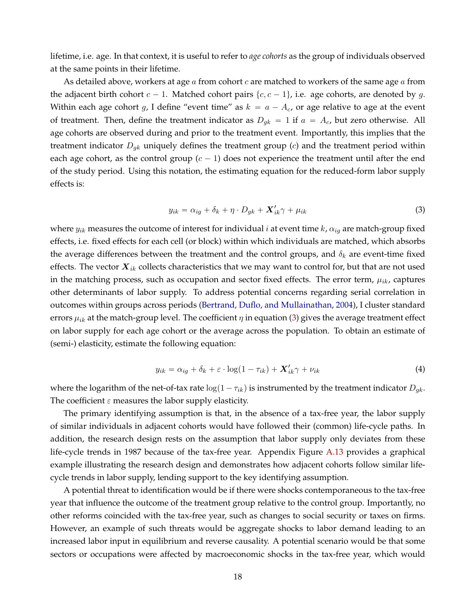lifetime, i.e. age. In that context, it is useful to refer to *age cohorts* as the group of individuals observed at the same points in their lifetime.

As detailed above, workers at age  $a$  from cohort  $c$  are matched to workers of the same age  $a$  from the adjacent birth cohort  $c - 1$ . Matched cohort pairs  $\{c, c - 1\}$ , i.e. age cohorts, are denoted by g. Within each age cohort g, I define "event time" as  $k = a - A_c$ , or age relative to age at the event of treatment. Then, define the treatment indicator as  $D_{gk} = 1$  if  $a = A_c$ , but zero otherwise. All age cohorts are observed during and prior to the treatment event. Importantly, this implies that the treatment indicator  $D_{qk}$  uniquely defines the treatment group  $(c)$  and the treatment period within each age cohort, as the control group  $(c - 1)$  does not experience the treatment until after the end of the study period. Using this notation, the estimating equation for the reduced-form labor supply effects is:

<span id="page-18-0"></span>
$$
y_{ik} = \alpha_{ig} + \delta_k + \eta \cdot D_{gk} + \mathbf{X}'_{ik}\gamma + \mu_{ik} \tag{3}
$$

where  $y_{ik}$  measures the outcome of interest for individual *i* at event time  $k$ ,  $\alpha_{ig}$  are match-group fixed effects, i.e. fixed effects for each cell (or block) within which individuals are matched, which absorbs the average differences between the treatment and the control groups, and  $\delta_k$  are event-time fixed effects. The vector  $\boldsymbol{X}_{ik}$  collects characteristics that we may want to control for, but that are not used in the matching process, such as occupation and sector fixed effects. The error term,  $\mu_{ik}$ , captures other determinants of labor supply. To address potential concerns regarding serial correlation in outcomes within groups across periods [\(Bertrand, Duflo, and Mullainathan,](#page-32-7) [2004\)](#page-32-7), I cluster standard errors  $\mu_{ik}$  at the match-group level. The coefficient  $\eta$  in equation [\(3\)](#page-18-0) gives the average treatment effect on labor supply for each age cohort or the average across the population. To obtain an estimate of (semi-) elasticity, estimate the following equation:

<span id="page-18-1"></span>
$$
y_{ik} = \alpha_{ig} + \delta_k + \varepsilon \cdot \log(1 - \tau_{ik}) + \mathbf{X}'_{ik}\gamma + \nu_{ik} \tag{4}
$$

where the logarithm of the net-of-tax rate  $\log(1 - \tau_{ik})$  is instrumented by the treatment indicator  $D_{gk}$ . The coefficient  $\varepsilon$  measures the labor supply elasticity.

The primary identifying assumption is that, in the absence of a tax-free year, the labor supply of similar individuals in adjacent cohorts would have followed their (common) life-cycle paths. In addition, the research design rests on the assumption that labor supply only deviates from these life-cycle trends in 1987 because of the tax-free year. Appendix Figure [A.13](#page-0-0) provides a graphical example illustrating the research design and demonstrates how adjacent cohorts follow similar lifecycle trends in labor supply, lending support to the key identifying assumption.

A potential threat to identification would be if there were shocks contemporaneous to the tax-free year that influence the outcome of the treatment group relative to the control group. Importantly, no other reforms coincided with the tax-free year, such as changes to social security or taxes on firms. However, an example of such threats would be aggregate shocks to labor demand leading to an increased labor input in equilibrium and reverse causality. A potential scenario would be that some sectors or occupations were affected by macroeconomic shocks in the tax-free year, which would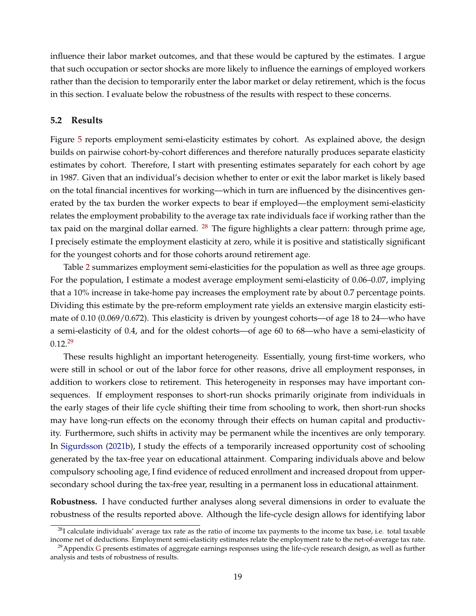influence their labor market outcomes, and that these would be captured by the estimates. I argue that such occupation or sector shocks are more likely to influence the earnings of employed workers rather than the decision to temporarily enter the labor market or delay retirement, which is the focus in this section. I evaluate below the robustness of the results with respect to these concerns.

## **5.2 Results**

Figure [5](#page-39-0) reports employment semi-elasticity estimates by cohort. As explained above, the design builds on pairwise cohort-by-cohort differences and therefore naturally produces separate elasticity estimates by cohort. Therefore, I start with presenting estimates separately for each cohort by age in 1987. Given that an individual's decision whether to enter or exit the labor market is likely based on the total financial incentives for working—which in turn are influenced by the disincentives generated by the tax burden the worker expects to bear if employed—the employment semi-elasticity relates the employment probability to the average tax rate individuals face if working rather than the tax paid on the marginal dollar earned.  $^{28}$  $^{28}$  $^{28}$  The figure highlights a clear pattern: through prime age, I precisely estimate the employment elasticity at zero, while it is positive and statistically significant for the youngest cohorts and for those cohorts around retirement age.

Table [2](#page-45-1) summarizes employment semi-elasticities for the population as well as three age groups. For the population, I estimate a modest average employment semi-elasticity of 0.06–0.07, implying that a 10% increase in take-home pay increases the employment rate by about 0.7 percentage points. Dividing this estimate by the pre-reform employment rate yields an extensive margin elasticity estimate of 0.10 (0.069/0.672). This elasticity is driven by youngest cohorts—of age 18 to 24—who have a semi-elasticity of 0.4, and for the oldest cohorts—of age 60 to 68—who have a semi-elasticity of  $0.12^{29}$  $0.12^{29}$  $0.12^{29}$ 

These results highlight an important heterogeneity. Essentially, young first-time workers, who were still in school or out of the labor force for other reasons, drive all employment responses, in addition to workers close to retirement. This heterogeneity in responses may have important consequences. If employment responses to short-run shocks primarily originate from individuals in the early stages of their life cycle shifting their time from schooling to work, then short-run shocks may have long-run effects on the economy through their effects on human capital and productivity. Furthermore, such shifts in activity may be permanent while the incentives are only temporary. In [Sigurdsson](#page-34-20) [\(2021b\)](#page-34-20), I study the effects of a temporarily increased opportunity cost of schooling generated by the tax-free year on educational attainment. Comparing individuals above and below compulsory schooling age, I find evidence of reduced enrollment and increased dropout from uppersecondary school during the tax-free year, resulting in a permanent loss in educational attainment.

**Robustness.** I have conducted further analyses along several dimensions in order to evaluate the robustness of the results reported above. Although the life-cycle design allows for identifying labor

<span id="page-19-0"></span> $28$ I calculate individuals' average tax rate as the ratio of income tax payments to the income tax base, i.e. total taxable income net of deductions. Employment semi-elasticity estimates relate the employment rate to the net-of-average tax rate.

<span id="page-19-1"></span> $29$ Appendix [G](#page-0-0) presents estimates of aggregate earnings responses using the life-cycle research design, as well as further analysis and tests of robustness of results.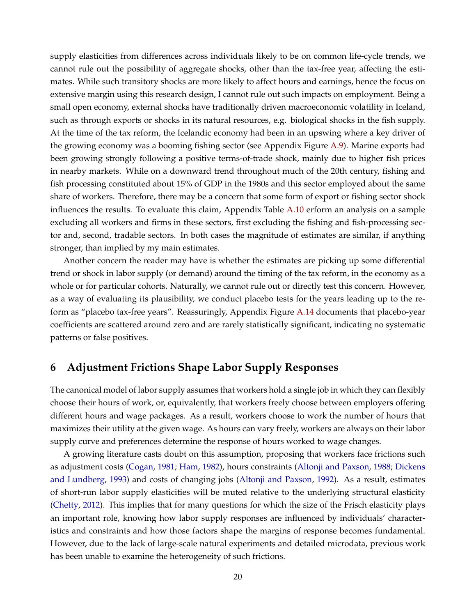supply elasticities from differences across individuals likely to be on common life-cycle trends, we cannot rule out the possibility of aggregate shocks, other than the tax-free year, affecting the estimates. While such transitory shocks are more likely to affect hours and earnings, hence the focus on extensive margin using this research design, I cannot rule out such impacts on employment. Being a small open economy, external shocks have traditionally driven macroeconomic volatility in Iceland, such as through exports or shocks in its natural resources, e.g. biological shocks in the fish supply. At the time of the tax reform, the Icelandic economy had been in an upswing where a key driver of the growing economy was a booming fishing sector (see Appendix Figure [A.9\)](#page-0-0). Marine exports had been growing strongly following a positive terms-of-trade shock, mainly due to higher fish prices in nearby markets. While on a downward trend throughout much of the 20th century, fishing and fish processing constituted about 15% of GDP in the 1980s and this sector employed about the same share of workers. Therefore, there may be a concern that some form of export or fishing sector shock influences the results. To evaluate this claim, Appendix Table [A.10](#page-0-0) erform an analysis on a sample excluding all workers and firms in these sectors, first excluding the fishing and fish-processing sector and, second, tradable sectors. In both cases the magnitude of estimates are similar, if anything stronger, than implied by my main estimates.

Another concern the reader may have is whether the estimates are picking up some differential trend or shock in labor supply (or demand) around the timing of the tax reform, in the economy as a whole or for particular cohorts. Naturally, we cannot rule out or directly test this concern. However, as a way of evaluating its plausibility, we conduct placebo tests for the years leading up to the reform as "placebo tax-free years". Reassuringly, Appendix Figure [A.14](#page-0-0) documents that placebo-year coefficients are scattered around zero and are rarely statistically significant, indicating no systematic patterns or false positives.

# <span id="page-20-0"></span>**6 Adjustment Frictions Shape Labor Supply Responses**

The canonical model of labor supply assumes that workers hold a single job in which they can flexibly choose their hours of work, or, equivalently, that workers freely choose between employers offering different hours and wage packages. As a result, workers choose to work the number of hours that maximizes their utility at the given wage. As hours can vary freely, workers are always on their labor supply curve and preferences determine the response of hours worked to wage changes.

A growing literature casts doubt on this assumption, proposing that workers face frictions such as adjustment costs [\(Cogan,](#page-33-14) [1981;](#page-33-14) [Ham,](#page-33-15) [1982\)](#page-33-15), hours constraints [\(Altonji and Paxson,](#page-32-10) [1988;](#page-32-10) [Dickens](#page-33-16) [and Lundberg,](#page-33-16) [1993\)](#page-33-16) and costs of changing jobs [\(Altonji and Paxson,](#page-32-11) [1992\)](#page-32-11). As a result, estimates of short-run labor supply elasticities will be muted relative to the underlying structural elasticity [\(Chetty,](#page-33-17) [2012\)](#page-33-17). This implies that for many questions for which the size of the Frisch elasticity plays an important role, knowing how labor supply responses are influenced by individuals' characteristics and constraints and how those factors shape the margins of response becomes fundamental. However, due to the lack of large-scale natural experiments and detailed microdata, previous work has been unable to examine the heterogeneity of such frictions.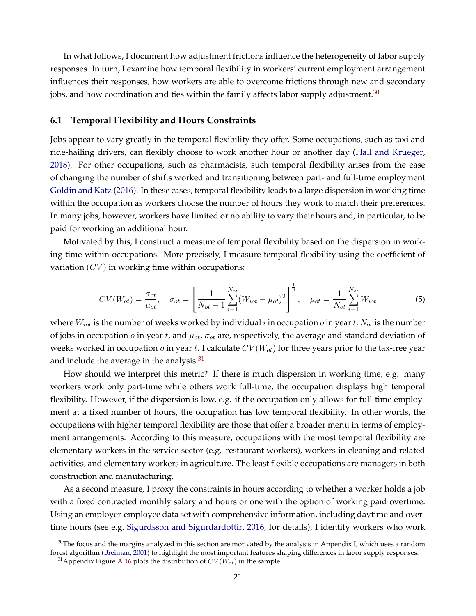In what follows, I document how adjustment frictions influence the heterogeneity of labor supply responses. In turn, I examine how temporal flexibility in workers' current employment arrangement influences their responses, how workers are able to overcome frictions through new and secondary jobs, and how coordination and ties within the family affects labor supply adjustment.<sup>[30](#page-21-0)</sup>

## <span id="page-21-2"></span>**6.1 Temporal Flexibility and Hours Constraints**

Jobs appear to vary greatly in the temporal flexibility they offer. Some occupations, such as taxi and ride-hailing drivers, can flexibly choose to work another hour or another day [\(Hall and Krueger,](#page-33-18) [2018\)](#page-33-18). For other occupations, such as pharmacists, such temporal flexibility arises from the ease of changing the number of shifts worked and transitioning between part- and full-time employment [Goldin and Katz](#page-33-19) [\(2016\)](#page-33-19). In these cases, temporal flexibility leads to a large dispersion in working time within the occupation as workers choose the number of hours they work to match their preferences. In many jobs, however, workers have limited or no ability to vary their hours and, in particular, to be paid for working an additional hour.

Motivated by this, I construct a measure of temporal flexibility based on the dispersion in working time within occupations. More precisely, I measure temporal flexibility using the coefficient of variation  $(CV)$  in working time within occupations:

<span id="page-21-3"></span>
$$
CV(W_{ot}) = \frac{\sigma_{ot}}{\mu_{ot}}, \quad \sigma_{ot} = \left[\frac{1}{N_{ot} - 1} \sum_{i=1}^{N_{ot}} (W_{iot} - \mu_{ot})^2\right]^{\frac{1}{2}}, \quad \mu_{ot} = \frac{1}{N_{ot}} \sum_{i=1}^{N_{ot}} W_{iot}
$$
(5)

where  $W_{i\sigma t}$  is the number of weeks worked by individual i in occupation  $o$  in year t,  $N_{\sigma t}$  is the number of jobs in occupation  $o$  in year t, and  $\mu_{ot}$ ,  $\sigma_{ot}$  are, respectively, the average and standard deviation of weeks worked in occupation  $o$  in year t. I calculate  $CV(W_{ot})$  for three years prior to the tax-free year and include the average in the analysis. $31$ 

How should we interpret this metric? If there is much dispersion in working time, e.g. many workers work only part-time while others work full-time, the occupation displays high temporal flexibility. However, if the dispersion is low, e.g. if the occupation only allows for full-time employment at a fixed number of hours, the occupation has low temporal flexibility. In other words, the occupations with higher temporal flexibility are those that offer a broader menu in terms of employment arrangements. According to this measure, occupations with the most temporal flexibility are elementary workers in the service sector (e.g. restaurant workers), workers in cleaning and related activities, and elementary workers in agriculture. The least flexible occupations are managers in both construction and manufacturing.

As a second measure, I proxy the constraints in hours according to whether a worker holds a job with a fixed contracted monthly salary and hours or one with the option of working paid overtime. Using an employer-employee data set with comprehensive information, including daytime and overtime hours (see e.g. [Sigurdsson and Sigurdardottir,](#page-34-21) [2016,](#page-34-21) for details), I identify workers who work

<span id="page-21-0"></span> $30$ The focus and the margins analyzed in this section are motivated by the analysis in Appendix [I,](#page-0-0) which uses a random forest algorithm [\(Breiman,](#page-32-12) [2001\)](#page-32-12) to highlight the most important features shaping differences in labor supply responses.

<span id="page-21-1"></span><sup>&</sup>lt;sup>31</sup> Appendix Figure [A.16](#page-0-0) plots the distribution of  $CV(W_{ot})$  in the sample.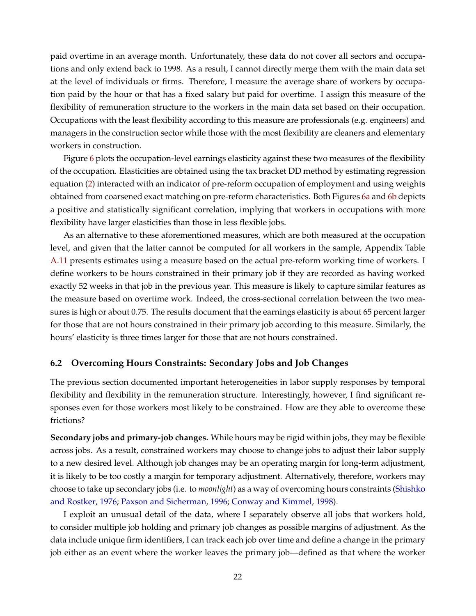paid overtime in an average month. Unfortunately, these data do not cover all sectors and occupations and only extend back to 1998. As a result, I cannot directly merge them with the main data set at the level of individuals or firms. Therefore, I measure the average share of workers by occupation paid by the hour or that has a fixed salary but paid for overtime. I assign this measure of the flexibility of remuneration structure to the workers in the main data set based on their occupation. Occupations with the least flexibility according to this measure are professionals (e.g. engineers) and managers in the construction sector while those with the most flexibility are cleaners and elementary workers in construction.

Figure [6](#page-40-0) plots the occupation-level earnings elasticity against these two measures of the flexibility of the occupation. Elasticities are obtained using the tax bracket DD method by estimating regression equation [\(2\)](#page-11-2) interacted with an indicator of pre-reform occupation of employment and using weights obtained from coarsened exact matching on pre-reform characteristics. Both Figures [6a](#page-40-1) and [6b](#page-40-2) depicts a positive and statistically significant correlation, implying that workers in occupations with more flexibility have larger elasticities than those in less flexible jobs.

As an alternative to these aforementioned measures, which are both measured at the occupation level, and given that the latter cannot be computed for all workers in the sample, Appendix Table [A.11](#page-0-0) presents estimates using a measure based on the actual pre-reform working time of workers. I define workers to be hours constrained in their primary job if they are recorded as having worked exactly 52 weeks in that job in the previous year. This measure is likely to capture similar features as the measure based on overtime work. Indeed, the cross-sectional correlation between the two measures is high or about 0.75. The results document that the earnings elasticity is about 65 percent larger for those that are not hours constrained in their primary job according to this measure. Similarly, the hours' elasticity is three times larger for those that are not hours constrained.

## **6.2 Overcoming Hours Constraints: Secondary Jobs and Job Changes**

The previous section documented important heterogeneities in labor supply responses by temporal flexibility and flexibility in the remuneration structure. Interestingly, however, I find significant responses even for those workers most likely to be constrained. How are they able to overcome these frictions?

**Secondary jobs and primary-job changes.** While hours may be rigid within jobs, they may be flexible across jobs. As a result, constrained workers may choose to change jobs to adjust their labor supply to a new desired level. Although job changes may be an operating margin for long-term adjustment, it is likely to be too costly a margin for temporary adjustment. Alternatively, therefore, workers may choose to take up secondary jobs (i.e. to *moonlight*) as a way of overcoming hours constraints [\(Shishko](#page-34-5) [and Rostker,](#page-34-5) [1976;](#page-34-5) [Paxson and Sicherman,](#page-34-6) [1996;](#page-34-6) [Conway and Kimmel,](#page-33-20) [1998\)](#page-33-20).

I exploit an unusual detail of the data, where I separately observe all jobs that workers hold, to consider multiple job holding and primary job changes as possible margins of adjustment. As the data include unique firm identifiers, I can track each job over time and define a change in the primary job either as an event where the worker leaves the primary job—defined as that where the worker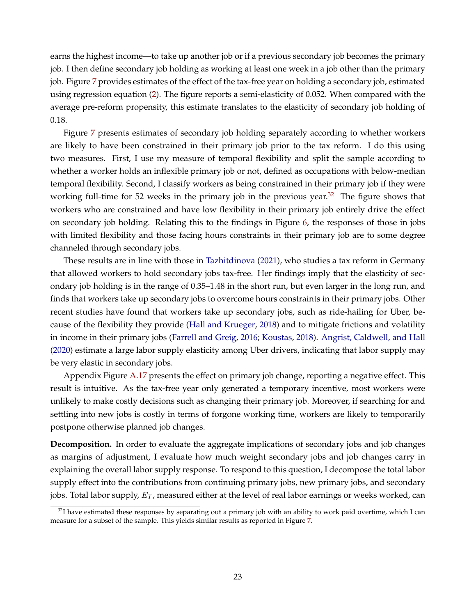earns the highest income—to take up another job or if a previous secondary job becomes the primary job. I then define secondary job holding as working at least one week in a job other than the primary job. Figure [7](#page-41-0) provides estimates of the effect of the tax-free year on holding a secondary job, estimated using regression equation [\(2\)](#page-11-2). The figure reports a semi-elasticity of 0.052. When compared with the average pre-reform propensity, this estimate translates to the elasticity of secondary job holding of 0.18.

Figure [7](#page-41-0) presents estimates of secondary job holding separately according to whether workers are likely to have been constrained in their primary job prior to the tax reform. I do this using two measures. First, I use my measure of temporal flexibility and split the sample according to whether a worker holds an inflexible primary job or not, defined as occupations with below-median temporal flexibility. Second, I classify workers as being constrained in their primary job if they were working full-time for 52 weeks in the primary job in the previous year.<sup>[32](#page-23-0)</sup> The figure shows that workers who are constrained and have low flexibility in their primary job entirely drive the effect on secondary job holding. Relating this to the findings in Figure [6,](#page-40-0) the responses of those in jobs with limited flexibility and those facing hours constraints in their primary job are to some degree channeled through secondary jobs.

These results are in line with those in [Tazhitdinova](#page-34-22) [\(2021\)](#page-34-22), who studies a tax reform in Germany that allowed workers to hold secondary jobs tax-free. Her findings imply that the elasticity of secondary job holding is in the range of 0.35–1.48 in the short run, but even larger in the long run, and finds that workers take up secondary jobs to overcome hours constraints in their primary jobs. Other recent studies have found that workers take up secondary jobs, such as ride-hailing for Uber, because of the flexibility they provide [\(Hall and Krueger,](#page-33-18) [2018\)](#page-33-18) and to mitigate frictions and volatility in income in their primary jobs [\(Farrell and Greig,](#page-33-21) [2016;](#page-33-21) [Koustas,](#page-34-23) [2018\)](#page-34-23). [Angrist, Caldwell, and Hall](#page-32-13) [\(2020\)](#page-32-13) estimate a large labor supply elasticity among Uber drivers, indicating that labor supply may be very elastic in secondary jobs.

Appendix Figure [A.17](#page-0-0) presents the effect on primary job change, reporting a negative effect. This result is intuitive. As the tax-free year only generated a temporary incentive, most workers were unlikely to make costly decisions such as changing their primary job. Moreover, if searching for and settling into new jobs is costly in terms of forgone working time, workers are likely to temporarily postpone otherwise planned job changes.

**Decomposition.** In order to evaluate the aggregate implications of secondary jobs and job changes as margins of adjustment, I evaluate how much weight secondary jobs and job changes carry in explaining the overall labor supply response. To respond to this question, I decompose the total labor supply effect into the contributions from continuing primary jobs, new primary jobs, and secondary jobs. Total labor supply,  $E_T$ , measured either at the level of real labor earnings or weeks worked, can

<span id="page-23-0"></span> $32I$  have estimated these responses by separating out a primary job with an ability to work paid overtime, which I can measure for a subset of the sample. This yields similar results as reported in Figure [7.](#page-41-0)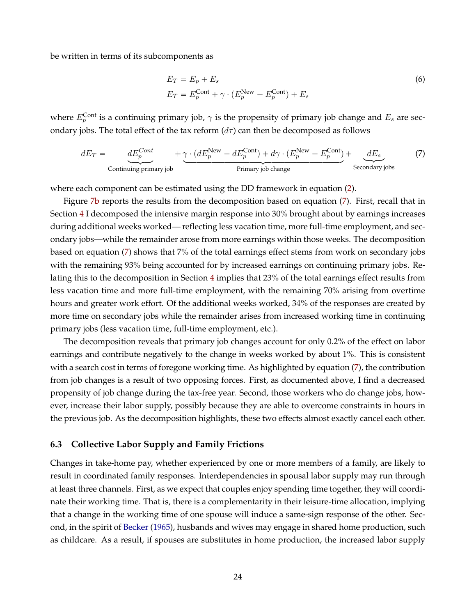be written in terms of its subcomponents as

<span id="page-24-0"></span>
$$
E_T = E_p + E_s
$$
  
\n
$$
E_T = E_p^{\text{Cont}} + \gamma \cdot (E_p^{\text{New}} - E_p^{\text{Cont}}) + E_s
$$
\n(6)

where  $E_p^{\text{Cont}}$  is a continuing primary job,  $\gamma$  is the propensity of primary job change and  $E_s$  are secondary jobs. The total effect of the tax reform  $(d\tau)$  can then be decomposed as follows

$$
dE_T = \underbrace{dE_p^{Cont}}_{\text{Continuing primary job}} + \underbrace{\gamma \cdot (dE_p^{\text{New}} - dE_p^{\text{Cont}}) + d\gamma \cdot (E_p^{\text{New}} - E_p^{\text{Cont}})}_{\text{Primary job change}} + \underbrace{dE_s}_{\text{Secondary jobs}} \tag{7}
$$

where each component can be estimated using the DD framework in equation [\(2\)](#page-11-2).

Figure [7b](#page-41-1) reports the results from the decomposition based on equation [\(7\)](#page-24-0). First, recall that in Section [4](#page-9-0) I decomposed the intensive margin response into 30% brought about by earnings increases during additional weeks worked— reflecting less vacation time, more full-time employment, and secondary jobs—while the remainder arose from more earnings within those weeks. The decomposition based on equation [\(7\)](#page-24-0) shows that 7% of the total earnings effect stems from work on secondary jobs with the remaining 93% being accounted for by increased earnings on continuing primary jobs. Relating this to the decomposition in Section [4](#page-9-0) implies that 23% of the total earnings effect results from less vacation time and more full-time employment, with the remaining 70% arising from overtime hours and greater work effort. Of the additional weeks worked, 34% of the responses are created by more time on secondary jobs while the remainder arises from increased working time in continuing primary jobs (less vacation time, full-time employment, etc.).

The decomposition reveals that primary job changes account for only 0.2% of the effect on labor earnings and contribute negatively to the change in weeks worked by about 1%. This is consistent with a search cost in terms of foregone working time. As highlighted by equation [\(7\)](#page-24-0), the contribution from job changes is a result of two opposing forces. First, as documented above, I find a decreased propensity of job change during the tax-free year. Second, those workers who do change jobs, however, increase their labor supply, possibly because they are able to overcome constraints in hours in the previous job. As the decomposition highlights, these two effects almost exactly cancel each other.

#### **6.3 Collective Labor Supply and Family Frictions**

Changes in take-home pay, whether experienced by one or more members of a family, are likely to result in coordinated family responses. Interdependencies in spousal labor supply may run through at least three channels. First, as we expect that couples enjoy spending time together, they will coordinate their working time. That is, there is a complementarity in their leisure-time allocation, implying that a change in the working time of one spouse will induce a same-sign response of the other. Second, in the spirit of [Becker](#page-32-14) [\(1965\)](#page-32-14), husbands and wives may engage in shared home production, such as childcare. As a result, if spouses are substitutes in home production, the increased labor supply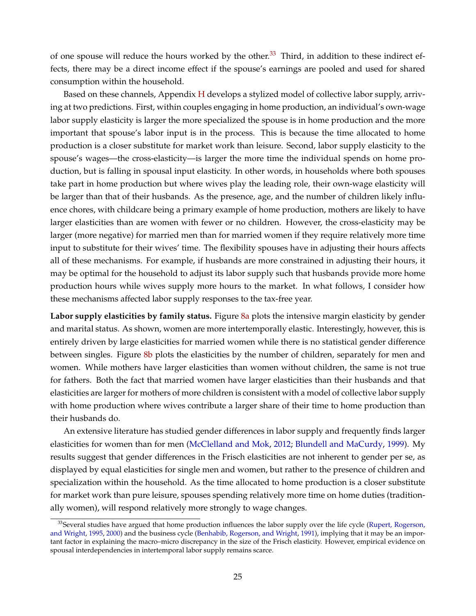of one spouse will reduce the hours worked by the other.<sup>[33](#page-25-0)</sup> Third, in addition to these indirect effects, there may be a direct income effect if the spouse's earnings are pooled and used for shared consumption within the household.

Based on these channels, Appendix [H](#page-0-0) develops a stylized model of collective labor supply, arriving at two predictions. First, within couples engaging in home production, an individual's own-wage labor supply elasticity is larger the more specialized the spouse is in home production and the more important that spouse's labor input is in the process. This is because the time allocated to home production is a closer substitute for market work than leisure. Second, labor supply elasticity to the spouse's wages—the cross-elasticity—is larger the more time the individual spends on home production, but is falling in spousal input elasticity. In other words, in households where both spouses take part in home production but where wives play the leading role, their own-wage elasticity will be larger than that of their husbands. As the presence, age, and the number of children likely influence chores, with childcare being a primary example of home production, mothers are likely to have larger elasticities than are women with fewer or no children. However, the cross-elasticity may be larger (more negative) for married men than for married women if they require relatively more time input to substitute for their wives' time. The flexibility spouses have in adjusting their hours affects all of these mechanisms. For example, if husbands are more constrained in adjusting their hours, it may be optimal for the household to adjust its labor supply such that husbands provide more home production hours while wives supply more hours to the market. In what follows, I consider how these mechanisms affected labor supply responses to the tax-free year.

**Labor supply elasticities by family status.** Figure [8a](#page-42-0) plots the intensive margin elasticity by gender and marital status. As shown, women are more intertemporally elastic. Interestingly, however, this is entirely driven by large elasticities for married women while there is no statistical gender difference between singles. Figure [8b](#page-42-1) plots the elasticities by the number of children, separately for men and women. While mothers have larger elasticities than women without children, the same is not true for fathers. Both the fact that married women have larger elasticities than their husbands and that elasticities are larger for mothers of more children is consistent with a model of collective labor supply with home production where wives contribute a larger share of their time to home production than their husbands do.

An extensive literature has studied gender differences in labor supply and frequently finds larger elasticities for women than for men [\(McClelland and Mok,](#page-34-7) [2012;](#page-34-7) [Blundell and MaCurdy,](#page-32-15) [1999\)](#page-32-15). My results suggest that gender differences in the Frisch elasticities are not inherent to gender per se, as displayed by equal elasticities for single men and women, but rather to the presence of children and specialization within the household. As the time allocated to home production is a closer substitute for market work than pure leisure, spouses spending relatively more time on home duties (traditionally women), will respond relatively more strongly to wage changes.

<span id="page-25-0"></span><sup>&</sup>lt;sup>33</sup> Several studies have argued that home production influences the labor supply over the life cycle [\(Rupert, Rogerson,](#page-34-24) [and Wright,](#page-34-24) [1995,](#page-34-24) [2000\)](#page-34-25) and the business cycle [\(Benhabib, Rogerson, and Wright,](#page-32-16) [1991\)](#page-32-16), implying that it may be an important factor in explaining the macro–micro discrepancy in the size of the Frisch elasticity. However, empirical evidence on spousal interdependencies in intertemporal labor supply remains scarce.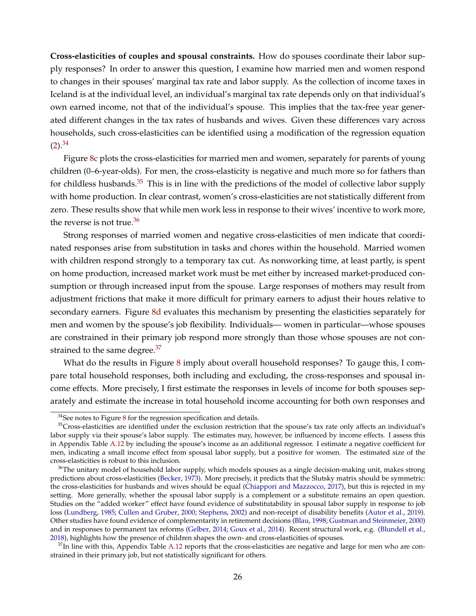**Cross-elasticities of couples and spousal constraints.** How do spouses coordinate their labor supply responses? In order to answer this question, I examine how married men and women respond to changes in their spouses' marginal tax rate and labor supply. As the collection of income taxes in Iceland is at the individual level, an individual's marginal tax rate depends only on that individual's own earned income, not that of the individual's spouse. This implies that the tax-free year generated different changes in the tax rates of husbands and wives. Given these differences vary across households, such cross-elasticities can be identified using a modification of the regression equation  $(2).^{34}$  $(2).^{34}$  $(2).^{34}$  $(2).^{34}$ 

Figure [8c](#page-42-2) plots the cross-elasticities for married men and women, separately for parents of young children (0–6-year-olds). For men, the cross-elasticity is negative and much more so for fathers than for childless husbands. $35$  This is in line with the predictions of the model of collective labor supply with home production. In clear contrast, women's cross-elasticities are not statistically different from zero. These results show that while men work less in response to their wives' incentive to work more, the reverse is not true. $36$ 

Strong responses of married women and negative cross-elasticities of men indicate that coordinated responses arise from substitution in tasks and chores within the household. Married women with children respond strongly to a temporary tax cut. As nonworking time, at least partly, is spent on home production, increased market work must be met either by increased market-produced consumption or through increased input from the spouse. Large responses of mothers may result from adjustment frictions that make it more difficult for primary earners to adjust their hours relative to secondary earners. Figure [8d](#page-42-3) evaluates this mechanism by presenting the elasticities separately for men and women by the spouse's job flexibility. Individuals— women in particular—whose spouses are constrained in their primary job respond more strongly than those whose spouses are not constrained to the same degree. $37$ 

What do the results in Figure [8](#page-42-4) imply about overall household responses? To gauge this, I compare total household responses, both including and excluding, the cross-responses and spousal income effects. More precisely, I first estimate the responses in levels of income for both spouses separately and estimate the increase in total household income accounting for both own responses and

<span id="page-26-1"></span><span id="page-26-0"></span> $34$ See notes to Figure [8](#page-42-4) for the regression specification and details.

 $35$ Cross-elasticities are identified under the exclusion restriction that the spouse's tax rate only affects an individual's labor supply via their spouse's labor supply. The estimates may, however, be influenced by income effects. I assess this in Appendix Table [A.12](#page-0-0) by including the spouse's income as an additional regressor. I estimate a negative coefficient for men, indicating a small income effect from spousal labor supply, but a positive for women. The estimated size of the cross-elasticities is robust to this inclusion.

<span id="page-26-2"></span> $36$ The unitary model of household labor supply, which models spouses as a single decision-making unit, makes strong predictions about cross-elasticities [\(Becker,](#page-32-17) [1973\)](#page-32-17). More precisely, it predicts that the Slutsky matrix should be symmetric: the cross-elasticities for husbands and wives should be equal [\(Chiappori and Mazzocco,](#page-33-8) [2017\)](#page-33-8), but this is rejected in my setting. More generally, whether the spousal labor supply is a complement or a substitute remains an open question. Studies on the "added worker" effect have found evidence of substitutability in spousal labor supply in response to job loss [\(Lundberg,](#page-34-8) [1985;](#page-34-8) [Cullen and Gruber,](#page-33-22) [2000;](#page-33-22) [Stephens,](#page-34-26) [2002\)](#page-34-26) and non-receipt of disability benefits [\(Autor et al.,](#page-32-4) [2019\)](#page-32-4). Other studies have found evidence of complementarity in retirement decisions [\(Blau,](#page-32-18) [1998;](#page-32-18) [Gustman and Steinmeier,](#page-33-23) [2000\)](#page-33-23) and in responses to permanent tax reforms [\(Gelber,](#page-33-24) [2014;](#page-33-24) [Goux et al.,](#page-33-25) [2014\)](#page-33-25). Recent structural work, e.g. [\(Blundell et al.,](#page-32-5) [2018\)](#page-32-5), highlights how the presence of children shapes the own- and cross-elasticities of spouses.

<span id="page-26-3"></span> $37$ In line with this, Appendix Table [A.12](#page-0-0) reports that the cross-elasticities are negative and large for men who are constrained in their primary job, but not statistically significant for others.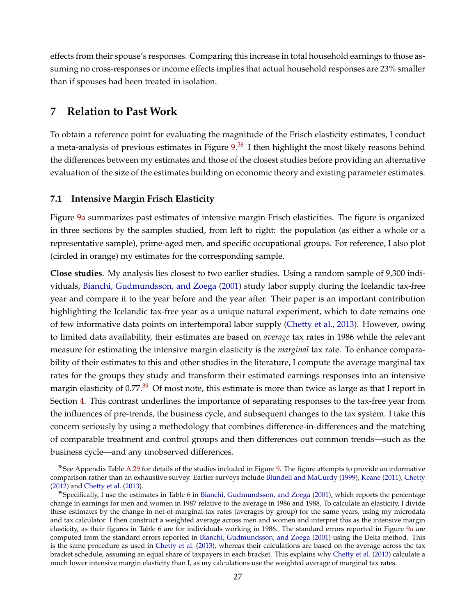effects from their spouse's responses. Comparing this increase in total household earnings to those assuming no cross-responses or income effects implies that actual household responses are 23% smaller than if spouses had been treated in isolation.

# <span id="page-27-0"></span>**7 Relation to Past Work**

To obtain a reference point for evaluating the magnitude of the Frisch elasticity estimates, I conduct a meta-analysis of previous estimates in Figure [9.](#page-43-0)<sup>[38](#page-27-1)</sup> I then highlight the most likely reasons behind the differences between my estimates and those of the closest studies before providing an alternative evaluation of the size of the estimates building on economic theory and existing parameter estimates.

# **7.1 Intensive Margin Frisch Elasticity**

Figure [9a](#page-43-1) summarizes past estimates of intensive margin Frisch elasticities. The figure is organized in three sections by the samples studied, from left to right: the population (as either a whole or a representative sample), prime-aged men, and specific occupational groups. For reference, I also plot (circled in orange) my estimates for the corresponding sample.

**Close studies**. My analysis lies closest to two earlier studies. Using a random sample of 9,300 individuals, [Bianchi, Gudmundsson, and Zoega](#page-32-3) [\(2001\)](#page-32-3) study labor supply during the Icelandic tax-free year and compare it to the year before and the year after. Their paper is an important contribution highlighting the Icelandic tax-free year as a unique natural experiment, which to date remains one of few informative data points on intertemporal labor supply [\(Chetty et al.,](#page-33-5) [2013\)](#page-33-5). However, owing to limited data availability, their estimates are based on *average* tax rates in 1986 while the relevant measure for estimating the intensive margin elasticity is the *marginal* tax rate. To enhance comparability of their estimates to this and other studies in the literature, I compute the average marginal tax rates for the groups they study and transform their estimated earnings responses into an intensive margin elasticity of  $0.77<sup>39</sup>$  $0.77<sup>39</sup>$  $0.77<sup>39</sup>$  Of most note, this estimate is more than twice as large as that I report in Section [4.](#page-9-0) This contrast underlines the importance of separating responses to the tax-free year from the influences of pre-trends, the business cycle, and subsequent changes to the tax system. I take this concern seriously by using a methodology that combines difference-in-differences and the matching of comparable treatment and control groups and then differences out common trends—such as the business cycle—and any unobserved differences.

<span id="page-27-1"></span><sup>&</sup>lt;sup>38</sup>See Appendix Table [A.29](#page-0-0) for details of the studies included in Figure [9.](#page-43-0) The figure attempts to provide an informative comparison rather than an exhaustive survey. Earlier surveys include [Blundell and MaCurdy](#page-32-15) [\(1999\)](#page-32-15), [Keane](#page-33-26) [\(2011\)](#page-33-26), [Chetty](#page-33-17) [\(2012\)](#page-33-17) and [Chetty et al.](#page-33-5) [\(2013\)](#page-33-5).

<span id="page-27-2"></span> $39$ Specifically, I use the estimates in Table 6 in [Bianchi, Gudmundsson, and Zoega](#page-32-3) [\(2001\)](#page-32-3), which reports the percentage change in earnings for men and women in 1987 relative to the average in 1986 and 1988. To calculate an elasticity, I divide these estimates by the change in net-of-marginal-tax rates (averages by group) for the same years, using my microdata and tax calculator. I then construct a weighted average across men and women and interpret this as the intensive margin elasticity, as their figures in Table 6 are for individuals working in 1986. The standard errors reported in Figure [9a](#page-43-1) are computed from the standard errors reported in [Bianchi, Gudmundsson, and Zoega](#page-32-3) [\(2001\)](#page-32-3) using the Delta method. This is the same procedure as used in [Chetty et al.](#page-33-5) [\(2013\)](#page-33-5), whereas their calculations are based on the average across the tax bracket schedule, assuming an equal share of taxpayers in each bracket. This explains why [Chetty et al.](#page-33-5) [\(2013\)](#page-33-5) calculate a much lower intensive margin elasticity than I, as my calculations use the weighted average of marginal tax rates.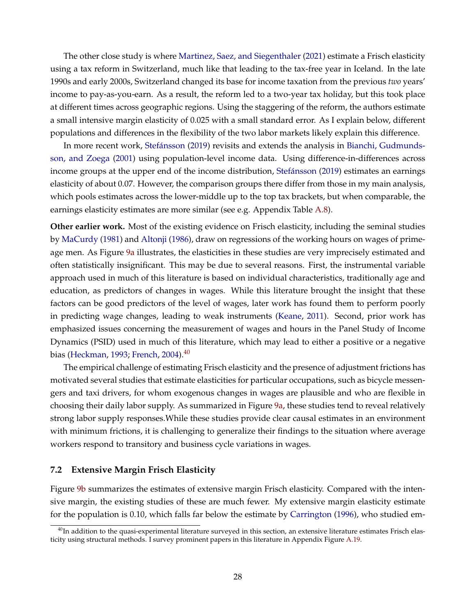The other close study is where [Martinez, Saez, and Siegenthaler](#page-34-11) [\(2021\)](#page-34-11) estimate a Frisch elasticity using a tax reform in Switzerland, much like that leading to the tax-free year in Iceland. In the late 1990s and early 2000s, Switzerland changed its base for income taxation from the previous *two* years' income to pay-as-you-earn. As a result, the reform led to a two-year tax holiday, but this took place at different times across geographic regions. Using the staggering of the reform, the authors estimate a small intensive margin elasticity of 0.025 with a small standard error. As I explain below, different populations and differences in the flexibility of the two labor markets likely explain this difference.

In more recent work, [Stefánsson](#page-34-10) [\(2019\)](#page-34-10) revisits and extends the analysis in [Bianchi, Gudmunds](#page-32-3)[son, and Zoega](#page-32-3) [\(2001\)](#page-32-3) using population-level income data. Using difference-in-differences across income groups at the upper end of the income distribution, [Stefánsson](#page-34-10) [\(2019\)](#page-34-10) estimates an earnings elasticity of about 0.07. However, the comparison groups there differ from those in my main analysis, which pools estimates across the lower-middle up to the top tax brackets, but when comparable, the earnings elasticity estimates are more similar (see e.g. Appendix Table [A.8\)](#page-0-0).

**Other earlier work.** Most of the existing evidence on Frisch elasticity, including the seminal studies by [MaCurdy](#page-34-4) [\(1981\)](#page-34-4) and [Altonji](#page-32-19) [\(1986\)](#page-32-19), draw on regressions of the working hours on wages of primeage men. As Figure [9a](#page-43-1) illustrates, the elasticities in these studies are very imprecisely estimated and often statistically insignificant. This may be due to several reasons. First, the instrumental variable approach used in much of this literature is based on individual characteristics, traditionally age and education, as predictors of changes in wages. While this literature brought the insight that these factors can be good predictors of the level of wages, later work has found them to perform poorly in predicting wage changes, leading to weak instruments [\(Keane,](#page-33-26) [2011\)](#page-33-26). Second, prior work has emphasized issues concerning the measurement of wages and hours in the Panel Study of Income Dynamics (PSID) used in much of this literature, which may lead to either a positive or a negative bias [\(Heckman,](#page-33-27) [1993;](#page-33-27) [French,](#page-33-28) [2004\)](#page-33-28).<sup>[40](#page-28-0)</sup>

The empirical challenge of estimating Frisch elasticity and the presence of adjustment frictions has motivated several studies that estimate elasticities for particular occupations, such as bicycle messengers and taxi drivers, for whom exogenous changes in wages are plausible and who are flexible in choosing their daily labor supply. As summarized in Figure [9a,](#page-43-1) these studies tend to reveal relatively strong labor supply responses.While these studies provide clear causal estimates in an environment with minimum frictions, it is challenging to generalize their findings to the situation where average workers respond to transitory and business cycle variations in wages.

## **7.2 Extensive Margin Frisch Elasticity**

Figure [9b](#page-43-2) summarizes the estimates of extensive margin Frisch elasticity. Compared with the intensive margin, the existing studies of these are much fewer. My extensive margin elasticity estimate for the population is 0.10, which falls far below the estimate by [Carrington](#page-32-20) [\(1996\)](#page-32-20), who studied em-

<span id="page-28-0"></span> $40$ In addition to the quasi-experimental literature surveyed in this section, an extensive literature estimates Frisch elasticity using structural methods. I survey prominent papers in this literature in Appendix Figure [A.19.](#page-0-0)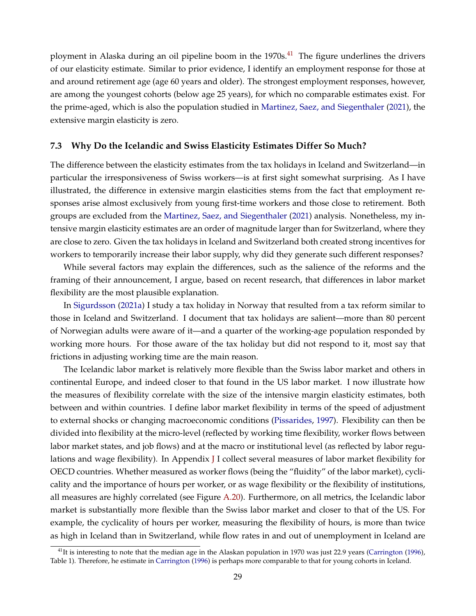ployment in Alaska during an oil pipeline boom in the 1970s.<sup>[41](#page-29-0)</sup> The figure underlines the drivers of our elasticity estimate. Similar to prior evidence, I identify an employment response for those at and around retirement age (age 60 years and older). The strongest employment responses, however, are among the youngest cohorts (below age 25 years), for which no comparable estimates exist. For the prime-aged, which is also the population studied in [Martinez, Saez, and Siegenthaler](#page-34-11) [\(2021\)](#page-34-11), the extensive margin elasticity is zero.

## **7.3 Why Do the Icelandic and Swiss Elasticity Estimates Differ So Much?**

The difference between the elasticity estimates from the tax holidays in Iceland and Switzerland—in particular the irresponsiveness of Swiss workers—is at first sight somewhat surprising. As I have illustrated, the difference in extensive margin elasticities stems from the fact that employment responses arise almost exclusively from young first-time workers and those close to retirement. Both groups are excluded from the [Martinez, Saez, and Siegenthaler](#page-34-11) [\(2021\)](#page-34-11) analysis. Nonetheless, my intensive margin elasticity estimates are an order of magnitude larger than for Switzerland, where they are close to zero. Given the tax holidays in Iceland and Switzerland both created strong incentives for workers to temporarily increase their labor supply, why did they generate such different responses?

While several factors may explain the differences, such as the salience of the reforms and the framing of their announcement, I argue, based on recent research, that differences in labor market flexibility are the most plausible explanation.

In [Sigurdsson](#page-34-12) [\(2021a\)](#page-34-12) I study a tax holiday in Norway that resulted from a tax reform similar to those in Iceland and Switzerland. I document that tax holidays are salient—more than 80 percent of Norwegian adults were aware of it—and a quarter of the working-age population responded by working more hours. For those aware of the tax holiday but did not respond to it, most say that frictions in adjusting working time are the main reason.

The Icelandic labor market is relatively more flexible than the Swiss labor market and others in continental Europe, and indeed closer to that found in the US labor market. I now illustrate how the measures of flexibility correlate with the size of the intensive margin elasticity estimates, both between and within countries. I define labor market flexibility in terms of the speed of adjustment to external shocks or changing macroeconomic conditions [\(Pissarides,](#page-34-27) [1997\)](#page-34-27). Flexibility can then be divided into flexibility at the micro-level (reflected by working time flexibility, worker flows between labor market states, and job flows) and at the macro or institutional level (as reflected by labor regulations and wage flexibility). In Appendix [J](#page-0-0) I collect several measures of labor market flexibility for OECD countries. Whether measured as worker flows (being the "fluidity" of the labor market), cyclicality and the importance of hours per worker, or as wage flexibility or the flexibility of institutions, all measures are highly correlated (see Figure [A.20\)](#page-0-0). Furthermore, on all metrics, the Icelandic labor market is substantially more flexible than the Swiss labor market and closer to that of the US. For example, the cyclicality of hours per worker, measuring the flexibility of hours, is more than twice as high in Iceland than in Switzerland, while flow rates in and out of unemployment in Iceland are

<span id="page-29-0"></span> $<sup>41</sup>$ It is interesting to note that the median age in the Alaskan population in 1970 was just 22.9 years [\(Carrington](#page-32-20) [\(1996\)](#page-32-20),</sup> Table 1). Therefore, he estimate in [Carrington](#page-32-20) [\(1996\)](#page-32-20) is perhaps more comparable to that for young cohorts in Iceland.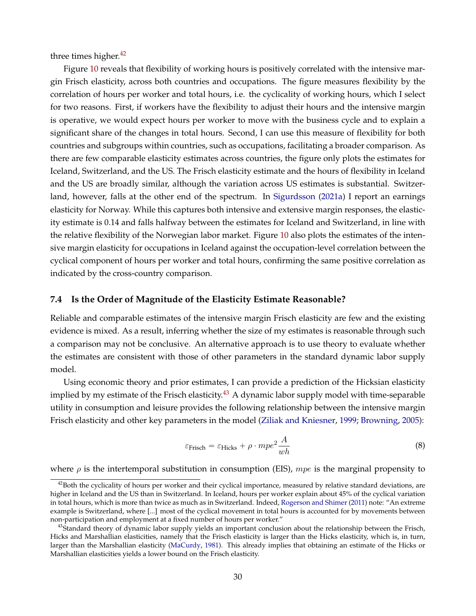three times higher. $42$ 

Figure [10](#page-44-0) reveals that flexibility of working hours is positively correlated with the intensive margin Frisch elasticity, across both countries and occupations. The figure measures flexibility by the correlation of hours per worker and total hours, i.e. the cyclicality of working hours, which I select for two reasons. First, if workers have the flexibility to adjust their hours and the intensive margin is operative, we would expect hours per worker to move with the business cycle and to explain a significant share of the changes in total hours. Second, I can use this measure of flexibility for both countries and subgroups within countries, such as occupations, facilitating a broader comparison. As there are few comparable elasticity estimates across countries, the figure only plots the estimates for Iceland, Switzerland, and the US. The Frisch elasticity estimate and the hours of flexibility in Iceland and the US are broadly similar, although the variation across US estimates is substantial. Switzerland, however, falls at the other end of the spectrum. In [Sigurdsson](#page-34-12) [\(2021a\)](#page-34-12) I report an earnings elasticity for Norway. While this captures both intensive and extensive margin responses, the elasticity estimate is 0.14 and falls halfway between the estimates for Iceland and Switzerland, in line with the relative flexibility of the Norwegian labor market. Figure [10](#page-44-0) also plots the estimates of the intensive margin elasticity for occupations in Iceland against the occupation-level correlation between the cyclical component of hours per worker and total hours, confirming the same positive correlation as indicated by the cross-country comparison.

## **7.4 Is the Order of Magnitude of the Elasticity Estimate Reasonable?**

Reliable and comparable estimates of the intensive margin Frisch elasticity are few and the existing evidence is mixed. As a result, inferring whether the size of my estimates is reasonable through such a comparison may not be conclusive. An alternative approach is to use theory to evaluate whether the estimates are consistent with those of other parameters in the standard dynamic labor supply model.

Using economic theory and prior estimates, I can provide a prediction of the Hicksian elasticity implied by my estimate of the Frisch elasticity.<sup>[43](#page-30-1)</sup> A dynamic labor supply model with time-separable utility in consumption and leisure provides the following relationship between the intensive margin Frisch elasticity and other key parameters in the model [\(Ziliak and Kniesner,](#page-35-1) [1999;](#page-35-1) [Browning,](#page-32-21) [2005\)](#page-32-21):

<span id="page-30-2"></span>
$$
\varepsilon_{\text{Frisch}} = \varepsilon_{\text{Hicks}} + \rho \cdot mpe^2 \frac{A}{wh} \tag{8}
$$

where  $\rho$  is the intertemporal substitution in consumption (EIS), mpe is the marginal propensity to

<span id="page-30-0"></span> $42$ Both the cyclicality of hours per worker and their cyclical importance, measured by relative standard deviations, are higher in Iceland and the US than in Switzerland. In Iceland, hours per worker explain about 45% of the cyclical variation in total hours, which is more than twice as much as in Switzerland. Indeed, [Rogerson and Shimer](#page-34-28) [\(2011\)](#page-34-28) note: "An extreme example is Switzerland, where [...] most of the cyclical movement in total hours is accounted for by movements between non-participation and employment at a fixed number of hours per worker."

<span id="page-30-1"></span><sup>&</sup>lt;sup>43</sup>Standard theory of dynamic labor supply yields an important conclusion about the relationship between the Frisch, Hicks and Marshallian elasticities, namely that the Frisch elasticity is larger than the Hicks elasticity, which is, in turn, larger than the Marshallian elasticity [\(MaCurdy,](#page-34-4) [1981\)](#page-34-4). This already implies that obtaining an estimate of the Hicks or Marshallian elasticities yields a lower bound on the Frisch elasticity.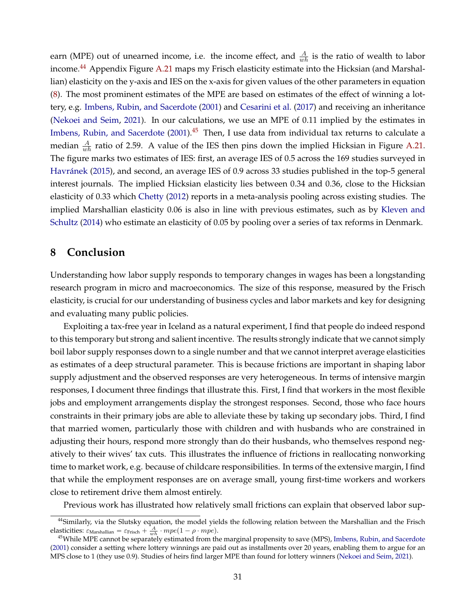earn (MPE) out of unearned income, i.e. the income effect, and  $\frac{A}{wh}$  is the ratio of wealth to labor income.<sup>[44](#page-31-1)</sup> Appendix Figure [A.21](#page-0-0) maps my Frisch elasticity estimate into the Hicksian (and Marshallian) elasticity on the y-axis and IES on the x-axis for given values of the other parameters in equation [\(8\)](#page-30-2). The most prominent estimates of the MPE are based on estimates of the effect of winning a lottery, e.g. [Imbens, Rubin, and Sacerdote](#page-33-29) [\(2001\)](#page-33-29) and [Cesarini et al.](#page-33-30) [\(2017\)](#page-33-30) and receiving an inheritance [\(Nekoei and Seim,](#page-34-29) [2021\)](#page-34-29). In our calculations, we use an MPE of 0.11 implied by the estimates in [Imbens, Rubin, and Sacerdote](#page-33-29)  $(2001).$  $(2001).$ <sup>[45](#page-31-2)</sup> Then, I use data from individual tax returns to calculate a median  $\frac{A}{wh}$  ratio of 2.59. A value of the IES then pins down the implied Hicksian in Figure [A.21.](#page-0-0) The figure marks two estimates of IES: first, an average IES of 0.5 across the 169 studies surveyed in [Havránek](#page-33-31) [\(2015\)](#page-33-31), and second, an average IES of 0.9 across 33 studies published in the top-5 general interest journals. The implied Hicksian elasticity lies between 0.34 and 0.36, close to the Hicksian elasticity of 0.33 which [Chetty](#page-33-17) [\(2012\)](#page-33-17) reports in a meta-analysis pooling across existing studies. The implied Marshallian elasticity 0.06 is also in line with previous estimates, such as by [Kleven and](#page-34-30) [Schultz](#page-34-30) [\(2014\)](#page-34-30) who estimate an elasticity of 0.05 by pooling over a series of tax reforms in Denmark.

# <span id="page-31-0"></span>**8 Conclusion**

Understanding how labor supply responds to temporary changes in wages has been a longstanding research program in micro and macroeconomics. The size of this response, measured by the Frisch elasticity, is crucial for our understanding of business cycles and labor markets and key for designing and evaluating many public policies.

Exploiting a tax-free year in Iceland as a natural experiment, I find that people do indeed respond to this temporary but strong and salient incentive. The results strongly indicate that we cannot simply boil labor supply responses down to a single number and that we cannot interpret average elasticities as estimates of a deep structural parameter. This is because frictions are important in shaping labor supply adjustment and the observed responses are very heterogeneous. In terms of intensive margin responses, I document three findings that illustrate this. First, I find that workers in the most flexible jobs and employment arrangements display the strongest responses. Second, those who face hours constraints in their primary jobs are able to alleviate these by taking up secondary jobs. Third, I find that married women, particularly those with children and with husbands who are constrained in adjusting their hours, respond more strongly than do their husbands, who themselves respond negatively to their wives' tax cuts. This illustrates the influence of frictions in reallocating nonworking time to market work, e.g. because of childcare responsibilities. In terms of the extensive margin, I find that while the employment responses are on average small, young first-time workers and workers close to retirement drive them almost entirely.

Previous work has illustrated how relatively small frictions can explain that observed labor sup-

<span id="page-31-1"></span><sup>&</sup>lt;sup>44</sup>Similarly, via the Slutsky equation, the model yields the following relation between the Marshallian and the Frisch elasticities:  $\varepsilon_{\text{Marshallian}} = \varepsilon_{\text{Frisch}} + \frac{A}{wh} \cdot mpe(1 - \rho \cdot mpe).$ 

<span id="page-31-2"></span><sup>&</sup>lt;sup>45</sup>While MPE cannot be separately estimated from the marginal propensity to save (MPS), [Imbens, Rubin, and Sacerdote](#page-33-29) [\(2001\)](#page-33-29) consider a setting where lottery winnings are paid out as installments over 20 years, enabling them to argue for an MPS close to 1 (they use 0.9). Studies of heirs find larger MPE than found for lottery winners [\(Nekoei and Seim,](#page-34-29) [2021\)](#page-34-29).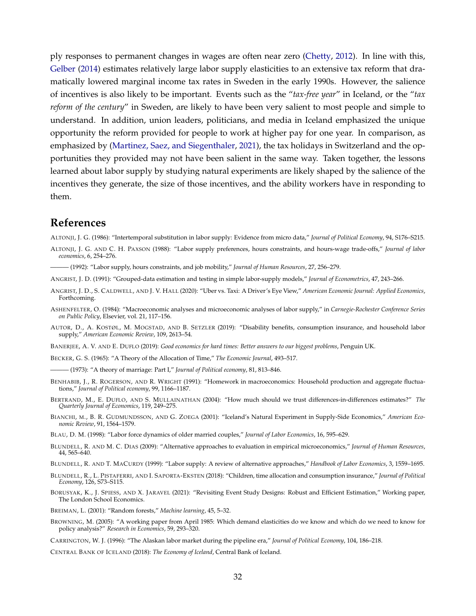ply responses to permanent changes in wages are often near zero [\(Chetty,](#page-33-17) [2012\)](#page-33-17). In line with this, [Gelber](#page-33-24) [\(2014\)](#page-33-24) estimates relatively large labor supply elasticities to an extensive tax reform that dramatically lowered marginal income tax rates in Sweden in the early 1990s. However, the salience of incentives is also likely to be important. Events such as the "*tax-free year*" in Iceland, or the "*tax reform of the century*" in Sweden, are likely to have been very salient to most people and simple to understand. In addition, union leaders, politicians, and media in Iceland emphasized the unique opportunity the reform provided for people to work at higher pay for one year. In comparison, as emphasized by [\(Martinez, Saez, and Siegenthaler,](#page-34-11) [2021\)](#page-34-11), the tax holidays in Switzerland and the opportunities they provided may not have been salient in the same way. Taken together, the lessons learned about labor supply by studying natural experiments are likely shaped by the salience of the incentives they generate, the size of those incentives, and the ability workers have in responding to them.

# **References**

<span id="page-32-19"></span>ALTONJI, J. G. (1986): "Intertemporal substitution in labor supply: Evidence from micro data," *Journal of Political Economy*, 94, S176–S215.

- <span id="page-32-10"></span>ALTONJI, J. G. AND C. H. PAXSON (1988): "Labor supply preferences, hours constraints, and hours-wage trade-offs," *Journal of labor economics*, 6, 254–276.
- <span id="page-32-11"></span>——— (1992): "Labor supply, hours constraints, and job mobility," *Journal of Human Resources*, 27, 256–279.
- <span id="page-32-2"></span>ANGRIST, J. D. (1991): "Grouped-data estimation and testing in simple labor-supply models," *Journal of Econometrics*, 47, 243–266.
- <span id="page-32-13"></span>ANGRIST, J. D., S. CALDWELL, AND J. V. HALL (2020): "Uber vs. Taxi: A Driver's Eye View," *American Economic Journal: Applied Economics*, Forthcoming.
- <span id="page-32-1"></span>ASHENFELTER, O. (1984): "Macroeconomic analyses and microeconomic analyses of labor supply," in *Carnegie-Rochester Conference Series on Public Policy*, Elsevier, vol. 21, 117–156.
- <span id="page-32-4"></span>AUTOR, D., A. KOSTØL, M. MOGSTAD, AND B. SETZLER (2019): "Disability benefits, consumption insurance, and household labor supply," *American Economic Review*, 109, 2613–54.
- <span id="page-32-0"></span>BANERJEE, A. V. AND E. DUFLO (2019): *Good economics for hard times: Better answers to our biggest problems*, Penguin UK.
- <span id="page-32-14"></span>BECKER, G. S. (1965): "A Theory of the Allocation of Time," *The Economic Journal*, 493–517.
- <span id="page-32-17"></span>——— (1973): "A theory of marriage: Part I," *Journal of Political economy*, 81, 813–846.
- <span id="page-32-16"></span>BENHABIB, J., R. ROGERSON, AND R. WRIGHT (1991): "Homework in macroeconomics: Household production and aggregate fluctuations," *Journal of Political economy*, 99, 1166–1187.
- <span id="page-32-7"></span>BERTRAND, M., E. DUFLO, AND S. MULLAINATHAN (2004): "How much should we trust differences-in-differences estimates?" *The Quarterly Journal of Economics*, 119, 249–275.
- <span id="page-32-3"></span>BIANCHI, M., B. R. GUDMUNDSSON, AND G. ZOEGA (2001): "Iceland's Natural Experiment in Supply-Side Economics," *American Economic Review*, 91, 1564–1579.
- <span id="page-32-18"></span>BLAU, D. M. (1998): "Labor force dynamics of older married couples," *Journal of Labor Economics*, 16, 595–629.
- <span id="page-32-8"></span>BLUNDELL, R. AND M. C. DIAS (2009): "Alternative approaches to evaluation in empirical microeconomics," *Journal of Human Resources*, 44, 565–640.
- <span id="page-32-15"></span>BLUNDELL, R. AND T. MACURDY (1999): "Labor supply: A review of alternative approaches," *Handbook of Labor Economics*, 3, 1559–1695.
- <span id="page-32-5"></span>BLUNDELL, R., L. PISTAFERRI, AND I. SAPORTA-EKSTEN (2018): "Children, time allocation and consumption insurance," *Journal of Political Economy*, 126, S73–S115.
- <span id="page-32-9"></span>BORUSYAK, K., J. SPIESS, AND X. JARAVEL (2021): "Revisiting Event Study Designs: Robust and Efficient Estimation," Working paper, The London School Economics.

<span id="page-32-12"></span>BREIMAN, L. (2001): "Random forests," *Machine learning*, 45, 5–32.

- <span id="page-32-21"></span>BROWNING, M. (2005): "A working paper from April 1985: Which demand elasticities do we know and which do we need to know for policy analysis?" *Research in Economics*, 59, 293–320.
- <span id="page-32-20"></span>CARRINGTON, W. J. (1996): "The Alaskan labor market during the pipeline era," *Journal of Political Economy*, 104, 186–218.
- <span id="page-32-6"></span>CENTRAL BANK OF ICELAND (2018): *The Economy of Iceland*, Central Bank of Iceland.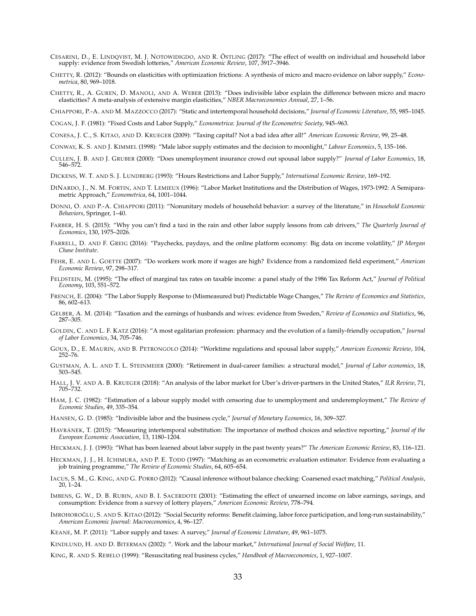- <span id="page-33-30"></span>CESARINI, D., E. LINDQVIST, M. J. NOTOWIDIGDO, AND R. ÖSTLING (2017): "The effect of wealth on individual and household labor supply: evidence from Swedish lotteries," *American Economic Review*, 107, 3917–3946.
- <span id="page-33-17"></span>CHETTY, R. (2012): "Bounds on elasticities with optimization frictions: A synthesis of micro and macro evidence on labor supply," *Econometrica*, 80, 969–1018.
- <span id="page-33-5"></span>CHETTY, R., A. GUREN, D. MANOLI, AND A. WEBER (2013): "Does indivisible labor explain the difference between micro and macro elasticities? A meta-analysis of extensive margin elasticities," *NBER Macroeconomics Annual*, 27, 1–56.

<span id="page-33-8"></span>CHIAPPORI, P.-A. AND M. MAZZOCCO (2017): "Static and intertemporal household decisions," *Journal of Economic Literature*, 55, 985–1045.

<span id="page-33-14"></span>COGAN, J. F. (1981): "Fixed Costs and Labor Supply," *Econometrica: Journal of the Econometric Society*, 945–963.

<span id="page-33-0"></span>CONESA, J. C., S. KITAO, AND D. KRUEGER (2009): "Taxing capital? Not a bad idea after all!" *American Economic Review*, 99, 25–48.

<span id="page-33-20"></span>CONWAY, K. S. AND J. KIMMEL (1998): "Male labor supply estimates and the decision to moonlight," *Labour Economics*, 5, 135–166.

<span id="page-33-22"></span>CULLEN, J. B. AND J. GRUBER (2000): "Does unemployment insurance crowd out spousal labor supply?" *Journal of Labor Economics*, 18, 546–572.

<span id="page-33-16"></span>DICKENS, W. T. AND S. J. LUNDBERG (1993): "Hours Restrictions and Labor Supply," *International Economic Review*, 169–192.

- <span id="page-33-13"></span>DINARDO, J., N. M. FORTIN, AND T. LEMIEUX (1996): "Labor Market Institutions and the Distribution of Wages, 1973-1992: A Semiparametric Approach," *Econometrica*, 64, 1001–1044.
- <span id="page-33-9"></span>DONNI, O. AND P.-A. CHIAPPORI (2011): "Nonunitary models of household behavior: a survey of the literature," in *Household Economic Behaviors*, Springer, 1–40.
- <span id="page-33-7"></span>FARBER, H. S. (2015): "Why you can't find a taxi in the rain and other labor supply lessons from cab drivers," *The Quarterly Journal of Economics*, 130, 1975–2026.
- <span id="page-33-21"></span>FARRELL, D. AND F. GREIG (2016): "Paychecks, paydays, and the online platform economy: Big data on income volatility," *JP Morgan Chase Institute*.
- <span id="page-33-6"></span>FEHR, E. AND L. GOETTE (2007): "Do workers work more if wages are high? Evidence from a randomized field experiment," *American Economic Review*, 97, 298–317.
- <span id="page-33-3"></span>FELDSTEIN, M. (1995): "The effect of marginal tax rates on taxable income: a panel study of the 1986 Tax Reform Act," *Journal of Political Economy*, 103, 551–572.
- <span id="page-33-28"></span>FRENCH, E. (2004): "The Labor Supply Response to (Mismeasured but) Predictable Wage Changes," *The Review of Economics and Statistics*, 86, 602–613.
- <span id="page-33-24"></span>GELBER, A. M. (2014): "Taxation and the earnings of husbands and wives: evidence from Sweden," *Review of Economics and Statistics*, 96, 287–305.
- <span id="page-33-19"></span>GOLDIN, C. AND L. F. KATZ (2016): "A most egalitarian profession: pharmacy and the evolution of a family-friendly occupation," *Journal of Labor Economics*, 34, 705–746.
- <span id="page-33-25"></span>GOUX, D., E. MAURIN, AND B. PETRONGOLO (2014): "Worktime regulations and spousal labor supply," *American Economic Review*, 104, 252–76.
- <span id="page-33-23"></span>GUSTMAN, A. L. AND T. L. STEINMEIER (2000): "Retirement in dual-career families: a structural model," *Journal of Labor economics*, 18, 503–545.
- <span id="page-33-18"></span>HALL, J. V. AND A. B. KRUEGER (2018): "An analysis of the labor market for Uber's driver-partners in the United States," *ILR Review*, 71, 705–732.
- <span id="page-33-15"></span>HAM, J. C. (1982): "Estimation of a labour supply model with censoring due to unemployment and underemployment," *The Review of Economic Studies*, 49, 335–354.
- <span id="page-33-4"></span>HANSEN, G. D. (1985): "Indivisible labor and the business cycle," *Journal of Monetary Economics*, 16, 309–327.
- <span id="page-33-31"></span>HAVRÁNEK, T. (2015): "Measuring intertemporal substitution: The importance of method choices and selective reporting," *Journal of the European Economic Association*, 13, 1180–1204.
- <span id="page-33-27"></span>HECKMAN, J. J. (1993): "What has been learned about labor supply in the past twenty years?" *The American Economic Review*, 83, 116–121.
- <span id="page-33-11"></span>HECKMAN, J. J., H. ICHIMURA, AND P. E. TODD (1997): "Matching as an econometric evaluation estimator: Evidence from evaluating a job training programme," *The Review of Economic Studies*, 64, 605–654.
- <span id="page-33-12"></span>IACUS, S. M., G. KING, AND G. PORRO (2012): "Causal inference without balance checking: Coarsened exact matching," *Political Analysis*, 20, 1–24.
- <span id="page-33-29"></span>IMBENS, G. W., D. B. RUBIN, AND B. I. SACERDOTE (2001): "Estimating the effect of unearned income on labor earnings, savings, and consumption: Evidence from a survey of lottery players," *American Economic Review*, 778–794.
- <span id="page-33-1"></span>IMROHOROĞLU, S. AND S. KITAO (2012): "Social Security reforms: Benefit claiming, labor force participation, and long-run sustainability," *American Economic Journal: Macroeconomics*, 4, 96–127.
- <span id="page-33-26"></span>KEANE, M. P. (2011): "Labor supply and taxes: A survey," *Journal of Economic Literature*, 49, 961–1075.
- <span id="page-33-10"></span>KINDLUND, H. AND D. BITERMAN (2002): ". Work and the labour market," *International Journal of Social Welfare*, 11.
- <span id="page-33-2"></span>KING, R. AND S. REBELO (1999): "Resuscitating real business cycles," *Handbook of Macroeconomics*, 1, 927–1007.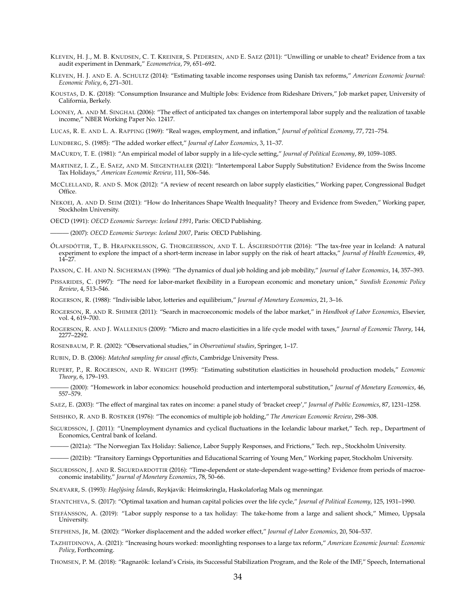- <span id="page-34-17"></span>KLEVEN, H. J., M. B. KNUDSEN, C. T. KREINER, S. PEDERSEN, AND E. SAEZ (2011): "Unwilling or unable to cheat? Evidence from a tax audit experiment in Denmark," *Econometrica*, 79, 651–692.
- <span id="page-34-30"></span>KLEVEN, H. J. AND E. A. SCHULTZ (2014): "Estimating taxable income responses using Danish tax reforms," *American Economic Journal: Economic Policy*, 6, 271–301.
- <span id="page-34-23"></span>KOUSTAS, D. K. (2018): "Consumption Insurance and Multiple Jobs: Evidence from Rideshare Drivers," Job market paper, University of California, Berkely.
- <span id="page-34-31"></span>LOONEY, A. AND M. SINGHAL (2006): "The effect of anticipated tax changes on intertemporal labor supply and the realization of taxable income," NBER Working Paper No. 12417.

<span id="page-34-0"></span>LUCAS, R. E. AND L. A. RAPPING (1969): "Real wages, employment, and inflation," *Journal of political Economy*, 77, 721–754.

- <span id="page-34-8"></span>LUNDBERG, S. (1985): "The added worker effect," *Journal of Labor Economics*, 3, 11–37.
- <span id="page-34-4"></span>MACURDY, T. E. (1981): "An empirical model of labor supply in a life-cycle setting," *Journal of Political Economy*, 89, 1059–1085.
- <span id="page-34-11"></span>MARTINEZ, I. Z., E. SAEZ, AND M. SIEGENTHALER (2021): "Intertemporal Labor Supply Substitution? Evidence from the Swiss Income Tax Holidays," *American Economic Review*, 111, 506–546.
- <span id="page-34-7"></span>MCCLELLAND, R. AND S. MOK (2012): "A review of recent research on labor supply elasticities," Working paper, Congressional Budget Office.
- <span id="page-34-29"></span>NEKOEI, A. AND D. SEIM (2021): "How do Inheritances Shape Wealth Inequality? Theory and Evidence from Sweden," Working paper, Stockholm University.

<span id="page-34-13"></span>OECD (1991): *OECD Economic Surveys: Iceland 1991*, Paris: OECD Publishing.

<span id="page-34-14"></span>——— (2007): *OECD Economic Surveys: Iceland 2007*, Paris: OECD Publishing.

- <span id="page-34-9"></span>ÓLAFSDÓTTIR, T., B. HRAFNKELSSON, G. THORGEIRSSON, AND T. L. ÁSGEIRSDÓTTIR (2016): "The tax-free year in Iceland: A natural experiment to explore the impact of a short-term increase in labor supply on the risk of heart attacks," *Journal of Health Economics*, 49,  $14 - 27$ .
- <span id="page-34-6"></span>PAXSON, C. H. AND N. SICHERMAN (1996): "The dynamics of dual job holding and job mobility," *Journal of Labor Economics*, 14, 357–393.
- <span id="page-34-27"></span>PISSARIDES, C. (1997): "The need for labor-market flexibility in a European economic and monetary union," *Swedish Economic Policy Review*, 4, 513–546.
- <span id="page-34-2"></span>ROGERSON, R. (1988): "Indivisible labor, lotteries and equilibrium," *Journal of Monetary Economics*, 21, 3–16.
- <span id="page-34-28"></span>ROGERSON, R. AND R. SHIMER (2011): "Search in macroeconomic models of the labor market," in *Handbook of Labor Economics*, Elsevier, vol. 4, 619–700.
- <span id="page-34-3"></span>ROGERSON, R. AND J. WALLENIUS (2009): "Micro and macro elasticities in a life cycle model with taxes," *Journal of Economic Theory*, 144, 2277–2292.

<span id="page-34-18"></span>ROSENBAUM, P. R. (2002): "Observational studies," in *Observational studies*, Springer, 1–17.

<span id="page-34-19"></span>RUBIN, D. B. (2006): *Matched sampling for causal effects*, Cambridge University Press.

<span id="page-34-24"></span>RUPERT, P., R. ROGERSON, AND R. WRIGHT (1995): "Estimating substitution elasticities in household production models," *Economic Theory*, 6, 179–193.

<span id="page-34-25"></span>——— (2000): "Homework in labor economics: household production and intertemporal substitution," *Journal of Monetary Economics*, 46, 557–579.

<span id="page-34-32"></span>SAEZ, E. (2003): "The effect of marginal tax rates on income: a panel study of 'bracket creep'," *Journal of Public Economics*, 87, 1231–1258.

<span id="page-34-5"></span>SHISHKO, R. AND B. ROSTKER (1976): "The economics of multiple job holding," *The American Economic Review*, 298–308.

- <span id="page-34-33"></span>SIGURDSSON, J. (2011): "Unemployment dynamics and cyclical fluctuations in the Icelandic labour market," Tech. rep., Department of Economics, Central bank of Iceland.
- <span id="page-34-12"></span>——— (2021a): "The Norwegian Tax Holiday: Salience, Labor Supply Responses, and Frictions," Tech. rep., Stockholm University.
- <span id="page-34-20"></span>——— (2021b): "Transitory Earnings Opportunities and Educational Scarring of Young Men," Working paper, Stockholm University.
- <span id="page-34-21"></span>SIGURDSSON, J. AND R. SIGURDARDOTTIR (2016): "Time-dependent or state-dependent wage-setting? Evidence from periods of macroeconomic instability," *Journal of Monetary Economics*, 78, 50–66.
- <span id="page-34-16"></span>SNÆVARR, S. (1993): *Haglýsing Íslands*, Reykjavik: Heimskringla, Haskolaforlag Mals og menningar.

<span id="page-34-1"></span>STANTCHEVA, S. (2017): "Optimal taxation and human capital policies over the life cycle," *Journal of Political Economy*, 125, 1931–1990.

<span id="page-34-10"></span>STEFÁNSSON, A. (2019): "Labor supply response to a tax holiday: The take-home from a large and salient shock," Mimeo, Uppsala University.

<span id="page-34-26"></span>STEPHENS, JR, M. (2002): "Worker displacement and the added worker effect," *Journal of Labor Economics*, 20, 504–537.

<span id="page-34-22"></span>TAZHITDINOVA, A. (2021): "Increasing hours worked: moonlighting responses to a large tax reform," *American Economic Journal: Economic Policy*, Forthcoming.

<span id="page-34-15"></span>THOMSEN, P. M. (2018): "Ragnarök: Iceland's Crisis, its Successful Stabilization Program, and the Role of the IMF," Speech, International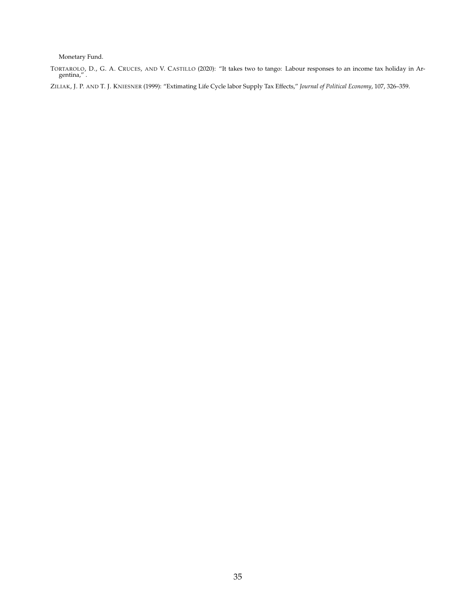Monetary Fund.

<span id="page-35-0"></span>TORTAROLO, D., G. A. CRUCES, AND V. CASTILLO (2020): "It takes two to tango: Labour responses to an income tax holiday in Ar-gentina," .

<span id="page-35-1"></span>ZILIAK, J. P. AND T. J. KNIESNER (1999): "Extimating Life Cycle labor Supply Tax Effects," *Journal of Political Economy*, 107, 326–359.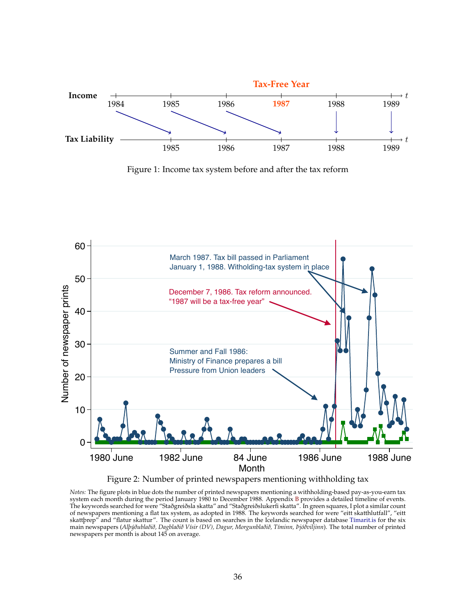<span id="page-36-0"></span>

Figure 1: Income tax system before and after the tax reform

<span id="page-36-1"></span>

Figure 2: Number of printed newspapers mentioning withholding tax

*Notes:* The figure plots in blue dots the number of printed newspapers mentioning a withholding-based pay-as-you-earn tax system each month during the period January 1980 to December 1988. Appendix [B](#page-0-0) provides a detailed timeline of events. The keywords searched for were "Staðgreiðsla skatta" and "Staðgreiðslukerfi skatta". In green squares, I plot a similar count of newspapers mentioning a flat tax system, as adopted in 1988. The keywords searched for were "eitt skatthlutfall", "eitt skattþrep" and "flatur skattur". The count is based on searches in the Icelandic newspaper database [Tímarit.is](http://timarit.is/) for the six main newspapers (*Alþýðublaðið, Dagblaðið Vísir (DV), Dagur, Morgunblaðið, Tíminn, Þjóðviljinn*). The total number of printed newspapers per month is about 145 on average.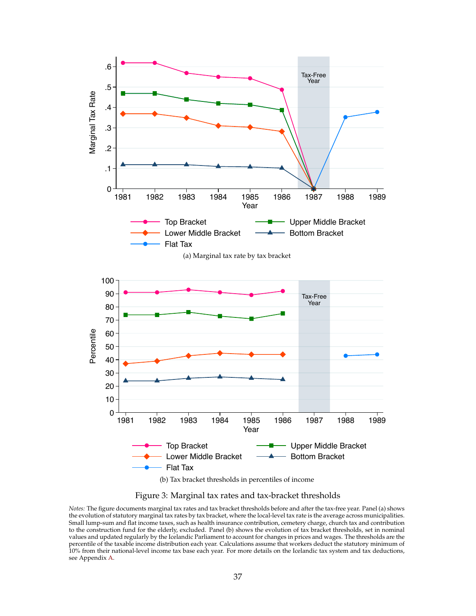<span id="page-37-1"></span><span id="page-37-0"></span>

Figure 3: Marginal tax rates and tax-bracket thresholds

*Notes:* The figure documents marginal tax rates and tax bracket thresholds before and after the tax-free year. Panel (a) shows the evolution of statutory marginal tax rates by tax bracket, where the local-level tax rate is the average across municipalities. Small lump-sum and flat income taxes, such as health insurance contribution, cemetery charge, church tax and contribution to the construction fund for the elderly, excluded. Panel (b) shows the evolution of tax bracket thresholds, set in nominal values and updated regularly by the Icelandic Parliament to account for changes in prices and wages. The thresholds are the percentile of the taxable income distribution each year. Calculations assume that workers deduct the statutory minimum of 10% from their national-level income tax base each year. For more details on the Icelandic tax system and tax deductions, see Appendix [A.](#page-0-0)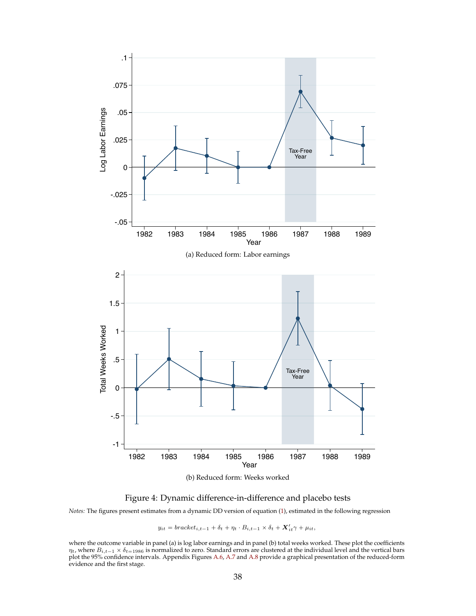<span id="page-38-0"></span>

Figure 4: Dynamic difference-in-difference and placebo tests

*Notes:* The figures present estimates from a dynamic DD version of equation [\(1\)](#page-11-0), estimated in the following regression

 $y_{it} = bracket_{i,t-1} + \delta_t + \eta_t \cdot B_{i,t-1} \times \delta_t + \mathbf{X}_{it}' \gamma + \mu_{it},$ 

where the outcome variable in panel (a) is log labor earnings and in panel (b) total weeks worked. These plot the coefficients  $\eta_t$ , where  $B_{i,t-1} \times \delta_{t=1986}$  is normalized to zero. Standard errors are clustered at the individual level and the vertical bars plot the 95% confidence intervals. Appendix Figures [A.6,](#page-0-0) [A.7](#page-0-0) and [A.8](#page-0-0) provide a graphical presentation of the reduced-form evidence and the first stage.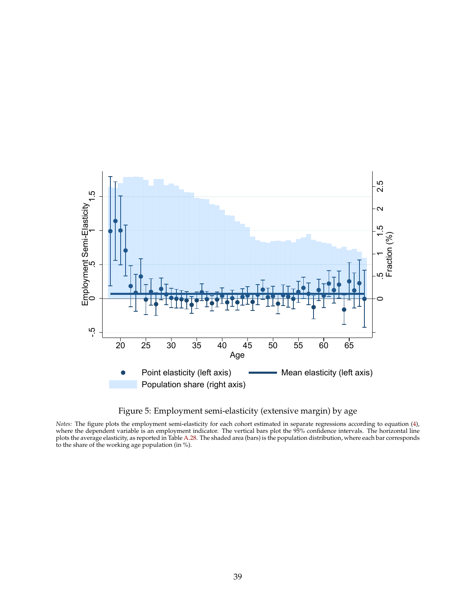<span id="page-39-0"></span>

Figure 5: Employment semi-elasticity (extensive margin) by age

*Notes:* The figure plots the employment semi-elasticity for each cohort estimated in separate regressions according to equation [\(4\)](#page-18-1), where the dependent variable is an employment indicator. The vertical bars plot the 95% confidence intervals. The horizontal line plots the average elasticity, as reported in Table [A.28.](#page-0-0) The shaded area (bars) is the population distribution, where each bar corresponds to the share of the working age population (in %).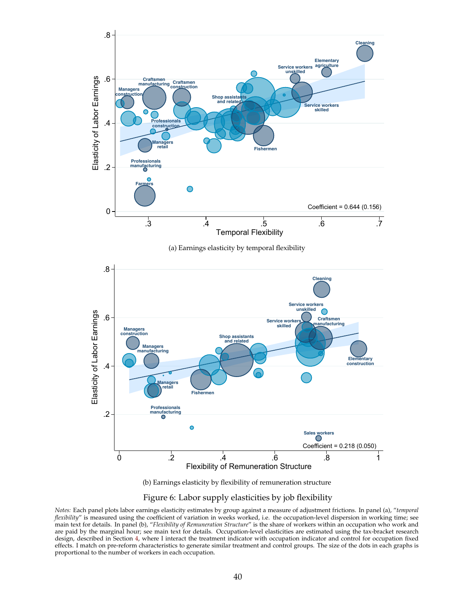<span id="page-40-2"></span><span id="page-40-1"></span><span id="page-40-0"></span>

(b) Earnings elasticity by flexibility of remuneration structure

#### Figure 6: Labor supply elasticities by job flexibility

*Notes:* Each panel plots labor earnings elasticity estimates by group against a measure of adjustment frictions. In panel (a), "*temporal flexibility*" is measured using the coefficient of variation in weeks worked, i.e. the occupation-level dispersion in working time; see main text for details. In panel (b), "*Flexibility of Remuneration Structure*" is the share of workers within an occupation who work and are paid by the marginal hour; see main text for details. Occupation-level elasticities are estimated using the tax-bracket research design, described in Section [4,](#page-9-0) where I interact the treatment indicator with occupation indicator and control for occupation fixed effects. I match on pre-reform characteristics to generate similar treatment and control groups. The size of the dots in each graphs is proportional to the number of workers in each occupation.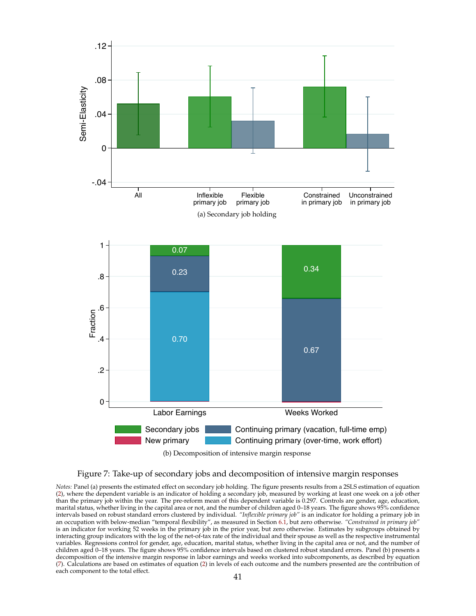<span id="page-41-1"></span><span id="page-41-0"></span>



*Notes:* Panel (a) presents the estimated effect on secondary job holding. The figure presents results from a 2SLS estimation of equation [\(2\)](#page-11-2), where the dependent variable is an indicator of holding a secondary job, measured by working at least one week on a job other than the primary job within the year. The pre-reform mean of this dependent variable is 0.297. Controls are gender, age, education, marital status, whether living in the capital area or not, and the number of children aged 0–18 years. The figure shows 95% confidence intervals based on robust standard errors clustered by individual. *"Inflexible primary job"* is an indicator for holding a primary job in an occupation with below-median "temporal flexibility", as measured in Section [6.1,](#page-21-2) but zero otherwise. *"Constrained in primary job"* is an indicator for working 52 weeks in the primary job in the prior year, but zero otherwise. Estimates by subgroups obtained by interacting group indicators with the log of the net-of-tax rate of the individual and their spouse as well as the respective instrumental variables. Regressions control for gender, age, education, marital status, whether living in the capital area or not, and the number of children aged 0–18 years. The figure shows 95% confidence intervals based on clustered robust standard errors. Panel (b) presents a decomposition of the intensive margin response in labor earnings and weeks worked into subcomponents, as described by equation [\(7\)](#page-24-0). Calculations are based on estimates of equation [\(2\)](#page-11-2) in levels of each outcome and the numbers presented are the contribution of each component to the total effect.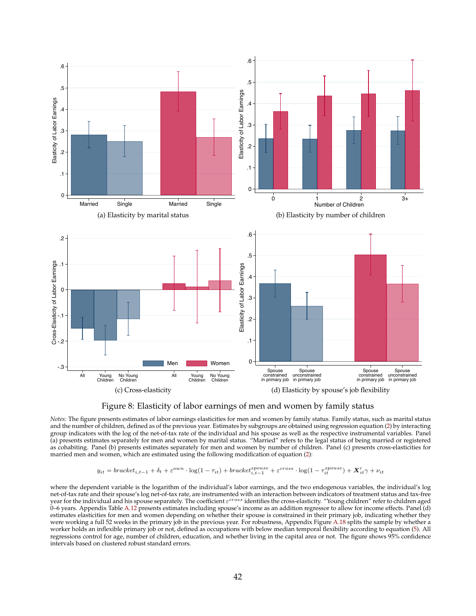<span id="page-42-4"></span><span id="page-42-2"></span><span id="page-42-1"></span><span id="page-42-0"></span>

<span id="page-42-3"></span>

*Notes:* The figure presents estimates of labor earnings elasticities for men and women by family status. Family status, such as marital status and the number of children, defined as of the previous year. Estimates by subgroups are obtained using regression equation [\(2\)](#page-11-2) by interacting group indicators with the log of the net-of-tax rate of the individual and his spouse as well as the respective instrumental variables. Panel (a) presents estimates separately for men and women by marital status. "Married" refers to the legal status of being married or registered as cohabiting. Panel (b) presents estimates separately for men and women by number of children. Panel (c) presents cross-elasticities for married men and women, which are estimated using the following modification of equation [\(2\)](#page-11-2):

$$
y_{it} = bracket_{i,t-1} + \delta_t + \varepsilon^{own} \cdot \log(1-\tau_{it}) + bracket_{i,t-1}^{spouse} + \varepsilon^{cross} \cdot \log(1-\tau_{it}^{spouse}) + \boldsymbol{X}_{it}'\gamma + \nu_{it}
$$

where the dependent variable is the logarithm of the individual's labor earnings, and the two endogenous variables, the individual's log net-of-tax rate and their spouse's log net-of-tax rate, are instrumented with an interaction between indicators of treatment status and tax-free year for the individual and his spouse separately. The coefficient  $\varepsilon^{cross}$  identifies the cross-elasticity. "Young children" refer to children aged 0–6 years. Appendix Table [A.12](#page-0-0) presents estimates including spouse's income as an addition regressor to allow for income effects. Panel (d) estimates elasticities for men and women depending on whether their spouse is constrained in their primary job, indicating whether they were working a full 52 weeks in the primary job in the previous year. For robustness, Appendix Figure [A.18](#page-0-0) splits the sample by whether a worker holds an inflexible primary job or not, defined as occupations with below median temporal flexibility according to equation [\(5\)](#page-21-3). All regressions control for age, number of children, education, and whether living in the capital area or not. The figure shows 95% confidence intervals based on clustered robust standard errors.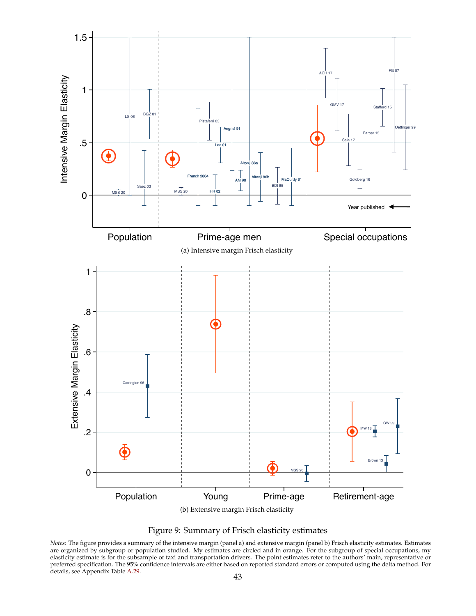<span id="page-43-2"></span><span id="page-43-1"></span><span id="page-43-0"></span>



*Notes:* The figure provides a summary of the intensive margin (panel a) and extensive margin (panel b) Frisch elasticity estimates. Estimates are organized by subgroup or population studied. My estimates are circled and in orange. For the subgroup of special occupations, my elasticity estimate is for the subsample of taxi and transportation drivers. The point estimates refer to the authors' main, representative or preferred specification. The 95% confidence intervals are either based on reported standard errors or computed using the delta method. For details, see Appendix Table [A.29.](#page-0-0)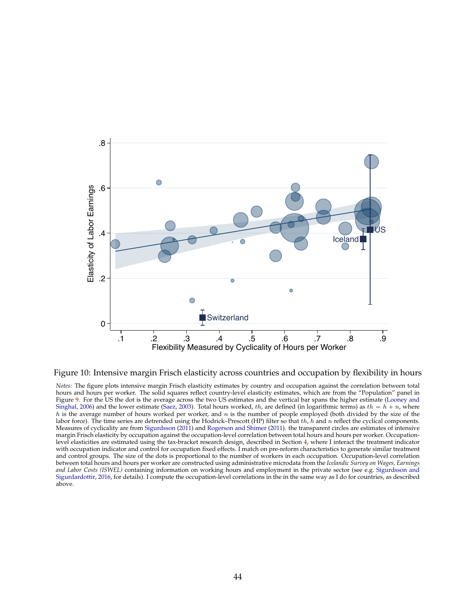<span id="page-44-0"></span>

Figure 10: Intensive margin Frisch elasticity across countries and occupation by flexibility in hours

*Notes:* The figure plots intensive margin Frisch elasticity estimates by country and occupation against the correlation between total hours and hours per worker. The solid squares reflect country-level elasticity estimates, which are from the "Population" panel in Figure [9.](#page-43-0) For the US the dot is the average across the two US estimates and the vertical bar spans the higher estimate [\(Looney and](#page-34-31) [Singhal,](#page-34-31) [2006\)](#page-34-31) and the lower estimate [\(Saez,](#page-34-32) [2003\)](#page-34-32). Total hours worked, th, are defined (in logarithmic terms) as th =  $h + n$ , where  $h$  is the average number of hours worked per worker, and  $n$  is the number of people employed (both divided by the size of the labor force). The time series are detrended using the Hodrick–Prescott (HP) filter so that  $th$ ,  $h$  and  $n$  reflect the cyclical components. Measures of cyclicality are from [Sigurdsson](#page-34-33) [\(2011\)](#page-34-33) and [Rogerson and Shimer](#page-34-28) [\(2011\)](#page-34-28). the transparent circles are estimates of intensive margin Frisch elasticity by occupation against the occupation-level correlation between total hours and hours per worker. Occupationlevel elasticities are estimated using the tax-bracket research design, described in Section [4,](#page-9-0) where I interact the treatment indicator with occupation indicator and control for occupation fixed effects. I match on pre-reform characteristics to generate similar treatment and control groups. The size of the dots is proportional to the number of workers in each occupation. Occupation-level correlation between total hours and hours per worker are constructed using administrative microdata from the *Icelandic Survey on Wages, Earnings and Labor Costs (ISWEL)* containing information on working hours and employment in the private sector (see e.g. [Sigurdsson and](#page-34-21) [Sigurdardottir,](#page-34-21) [2016,](#page-34-21) for details). I compute the occupation-level correlations in the in the same way as I do for countries, as described above.